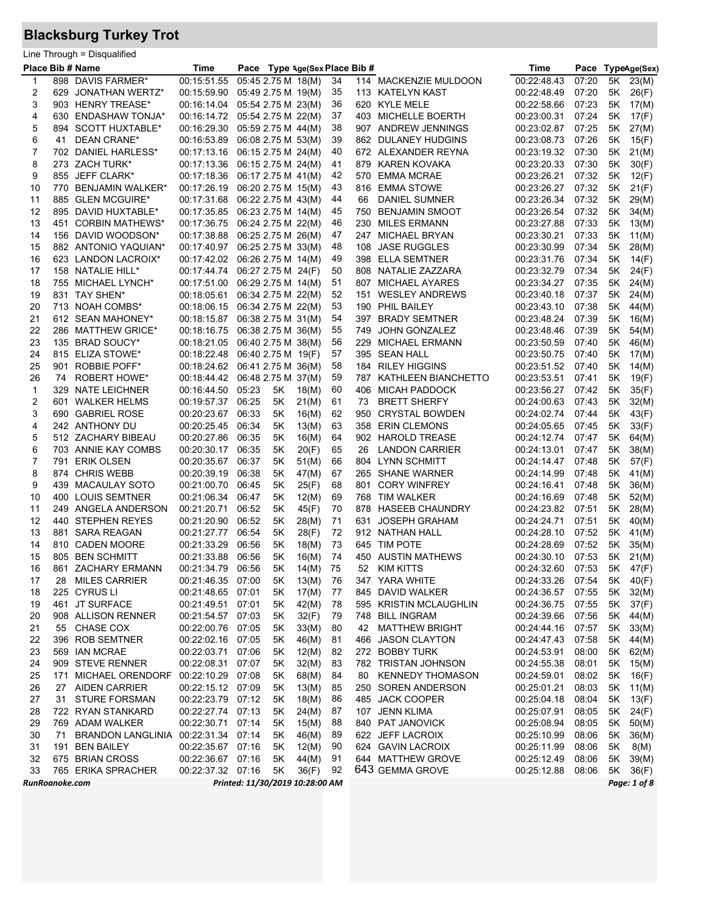## **Blacksburg Turkey Trot**

|                |    | Line Through = Disqualified         |                                   |       |                     |                                 |      |     |                         |                   |       |      |              |
|----------------|----|-------------------------------------|-----------------------------------|-------|---------------------|---------------------------------|------|-----|-------------------------|-------------------|-------|------|--------------|
|                |    | Place Bib # Name                    | Time                              |       |                     | Pace Type Age(Sex Place Bib #   |      |     |                         | Time              | Pace  |      | TypeAge(Sex) |
| -1             |    | 898 DAVIS FARMER*                   | 00:15:51.55                       |       | 05:45 2.75 M. 18(M) |                                 | 34   |     | 114 MACKENZIE MULDOON   | 00:22:48.43       | 07:20 | 5K - | 23(M)        |
| 2              |    | 629 JONATHAN WERTZ*                 | 00:15:59.90                       |       | 05:49 2.75 M. 19(M) |                                 | 35   |     | 113 KATELYN KAST        | 00:22:48.49       | 07:20 | 5K   | 26(F)        |
| 3              |    | 903 HENRY TREASE*                   | 00:16:14.04                       |       | 05:54 2.75 M. 23(M) |                                 | 36   |     | 620 KYLE MELE           | 00:22:58.66       | 07:23 | 5K   | 17(M)        |
| 4              |    | 630 ENDASHAW TONJA*                 | 00:16:14.72                       |       | 05:54 2.75 M. 22(M) |                                 | 37   |     | 403 MICHELLE BOERTH     | 00:23:00.31       | 07:24 | 5K   | 17(F)        |
| 5              |    | 894 SCOTT HUXTABLE*                 | 00:16:29.30                       |       | 05:59 2.75 M. 44(M) |                                 | 38   |     | 907 ANDREW JENNINGS     | 00:23:02.87       | 07:25 | 5K - | 27(M)        |
| 6              | 41 | DEAN CRANE*                         | 00:16:53.89                       |       | 06:08 2.75 M. 53(M) |                                 | 39   |     | 862 DULANEY HUDGINS     | 00:23:08.73       | 07:26 | 5K   | 15(F)        |
| $\overline{7}$ |    | 702 DANIEL HARLESS*                 | 00:17:13.16  06:15  2.75 M. 24(M) |       |                     |                                 | 40   |     | 672 ALEXANDER REYNA     | 00:23:19.32       | 07:30 | 5K   | 21(M)        |
| 8              |    | 273 ZACH TURK*                      | 00:17:13.36                       |       | 06:15 2.75 M. 24(M) |                                 | 41   |     | 879 KAREN KOVAKA        | 00:23:20.33       | 07:30 | 5K   | 30(F)        |
| 9              |    | 855 JEFF CLARK*                     | 00:17:18.36                       |       | 06:17 2.75 M 41(M)  |                                 | 42   | 570 | <b>EMMA MCRAE</b>       | 00:23:26.21       | 07:32 | 5K   | 12(F)        |
| 10             |    | 770 BENJAMIN WALKER*                | 00:17:26.19                       |       | 06:20 2.75 M. 15(M) |                                 | 43   | 816 | <b>EMMA STOWE</b>       | 00:23:26.27       | 07:32 | 5K   | 21(F)        |
| 11             |    | 885 GLEN MCGUIRE*                   | 00:17:31.68                       |       | 06:22 2.75 M. 43(M) |                                 | 44   | 66  | <b>DANIEL SUMNER</b>    | 00:23:26.34       | 07:32 | 5K   | 29(M)        |
| 12             |    | 895 DAVID HUXTABLE*                 | 00:17:35.85                       |       | 06:23 2.75 M. 14(M) |                                 | 45   | 750 | <b>BENJAMIN SMOOT</b>   | 00:23:26.54       | 07:32 | 5K   | 34(M)        |
| 13             |    | 451 CORBIN MATHEWS*                 | 00:17:36.75                       |       | 06:24 2.75 M. 22(M) |                                 | 46   | 230 | MILES ERMANN            | 00:23:27.88       | 07:33 | 5K   | 13(M)        |
| 14             |    | 156 DAVID WOODSON*                  | 00:17:38.88                       |       | 06:25 2.75 M. 26(M) |                                 | 47   | 247 | MICHAEL BRYAN           | 00:23:30.21       | 07:33 | 5K   | 11(M)        |
| 15             |    | 882 ANTONIO YAQUIAN*                | 00:17:40.97  06:25  2.75 M  33(M) |       |                     |                                 | 48   | 108 | <b>JASE RUGGLES</b>     | 00:23:30.99       | 07:34 | 5K   | 28(M)        |
| 16             |    | 623 LANDON LACROIX*                 | 00:17:42.02                       |       | 06:26 2.75 M. 14(M) |                                 | 49   |     | 398 ELLA SEMTNER        | 00:23:31.76       | 07:34 | 5K   | 14(F)        |
| 17             |    | 158 NATALIE HILL*                   | 00:17:44.74                       |       | 06:27 2.75 M 24(F)  |                                 | 50   | 808 | NATALIE ZAZZARA         | 00:23:32.79       | 07:34 | 5K   | 24(F)        |
| 18             |    | 755 MICHAEL LYNCH*                  | 00:17:51.00                       |       | 06:29 2.75 M 14(M)  |                                 | 51   | 807 | MICHAEL AYARES          | 00:23:34.27       | 07:35 | 5K   | 24(M)        |
| 19             |    | 831 TAY SHEN*                       | 00:18:05.61                       |       | 06:34 2.75 M. 22(M) |                                 | 52   | 151 | <b>WESLEY ANDREWS</b>   | 00:23:40.18       | 07:37 | 5K . | 24(M)        |
| 20             |    | 713 NOAH COMBS*                     | 00:18:06.15                       |       | 06:34 2.75 M. 22(M) |                                 | 53   |     | 190 PHIL BAILEY         | 00:23:43.10       | 07:38 | 5K   | 44(M)        |
| 21             |    | 612 SEAN MAHONEY*                   | 00:18:15.87  06:38  2.75 M  31(M) |       |                     |                                 | 54   | 397 | <b>BRADY SEMTNER</b>    | 00:23:48.24       | 07:39 | 5K   | 16(M)        |
| 22             |    | 286 MATTHEW GRICE*                  | 00:18:16.75                       |       | 06:38 2.75 M. 36(M) |                                 | 55   | 749 | JOHN GONZALEZ           | 00:23:48.46       | 07:39 | 5K   | 54(M)        |
| 23             |    | 135 BRAD SOUCY*                     |                                   |       | 06:40 2.75 M. 38(M) |                                 | 56   |     | <b>MICHAEL ERMANN</b>   |                   | 07:40 |      |              |
|                |    |                                     | 00:18:21.05                       |       |                     |                                 |      | 229 |                         | 00:23:50.59       |       | 5K   | 46(M)        |
| 24             |    | 815 ELIZA STOWE*                    | 00:18:22.48                       |       | 06:40 2.75 M 19(F)  |                                 | 57   |     | 395 SEAN HALL           | 00:23:50.75       | 07:40 | 5K   | 17(M)        |
| 25             |    | 901 ROBBIE POFF*                    | 00:18:24.62  06:41  2.75 M. 36(M) |       |                     |                                 | 58   | 184 | <b>RILEY HIGGINS</b>    | 00:23:51.52       | 07:40 | 5K   | 14(M)        |
| 26             | 74 | <b>ROBERT HOWE*</b>                 | 00:18:44.42  06:48  2.75 M  37(M) |       |                     |                                 | 59   |     | 787 KATHLEEN BIANCHETTO | 00:23:53.51       | 07:41 | 5K   | 19(F)        |
| 1              |    | 329 NATE LEICHNER                   | 00:16:44.50                       | 05:23 | 5Κ                  | 18(M)                           | 60   | 406 | MICAH PADDOCK           | 00:23:56.27       | 07:42 | 5K   | 35(F)        |
| $\overline{c}$ |    | 601 WALKER HELMS                    | 00:19:57.37                       | 06:25 | 5Κ                  | 21(M)                           | 61   | 73  | <b>BRETT SHERFY</b>     | 00:24:00.63       | 07:43 | 5K   | 32(M)        |
| 3              |    | 690 GABRIEL ROSE                    | 00:20:23.67                       | 06:33 | 5K                  | 16(M)                           | 62   | 950 | <b>CRYSTAL BOWDEN</b>   | 00:24:02.74       | 07:44 | 5K   | 43(F)        |
| 4              |    | 242 ANTHONY DU                      | 00:20:25.45                       | 06:34 | 5Κ                  | 13(M)                           | 63   |     | 358 ERIN CLEMONS        | 00:24:05.65       | 07:45 | 5K   | 33(F)        |
| 5              |    | 512 ZACHARY BIBEAU                  | 00:20:27.86                       | 06:35 | 5K                  | 16(M)                           | 64   |     | 902 HAROLD TREASE       | 00:24:12.74       | 07:47 | 5K   | 64(M)        |
| 6              |    | 703 ANNIE KAY COMBS                 | 00:20:30.17                       | 06:35 | 5Κ                  | 20(F)                           | 65   | 26  | <b>LANDON CARRIER</b>   | 00:24:13.01       | 07:47 | 5K   | 38(M)        |
| 7              |    | 791 ERIK OLSEN                      | 00:20:35.67                       | 06:37 | 5Κ                  | 51(M)                           | 66   |     | 804 LYNN SCHMITT        | 00:24:14.47       | 07:48 | 5K   | 57(F)        |
| 8              |    | 874 CHRIS WEBB                      | 00:20:39.19                       | 06:38 | 5K                  | 47(M)                           | 67   |     | 265 SHANE WARNER        | 00:24:14.99       | 07:48 | 5K   | 41(M)        |
| 9              |    | 439 MACAULAY SOTO                   | 00:21:00.70                       | 06:45 | 5Κ                  | 25(F)                           | 68   | 801 | <b>CORY WINFREY</b>     | 00:24:16.41       | 07:48 | 5K   | 36(M)        |
| 10             |    | 400 LOUIS SEMTNER                   | 00:21:06.34                       | 06:47 | 5K                  | 12(M)                           | 69   | 768 | <b>TIM WALKER</b>       | 00:24:16.69       | 07:48 | 5K   | 52(M)        |
| 11             |    | 249 ANGELA ANDERSON                 | 00:21:20.71                       | 06:52 | 5Κ                  | 45(F)                           | 70   | 878 | <b>HASEEB CHAUNDRY</b>  | 00:24:23.82       | 07:51 | 5K   | 28(M)        |
| 12             |    | 440 STEPHEN REYES                   | 00:21:20.90                       | 06:52 | 5K                  | 28(M)                           | 71   | 631 | <b>JOSEPH GRAHAM</b>    | 00:24:24.71       | 07:51 | 5K   | 40(M)        |
| 13             |    | 881 SARA REAGAN                     | 00:21:27.77                       | 06:54 | 5Κ                  | 28(F)                           | 72   |     | 912 NATHAN HALL         | 00:24:28.10       | 07:52 | 5K   | 41(M)        |
| 14             |    | 810 CADEN MOORE                     | 00:21:33.29                       | 06:56 | 5Κ                  | 18(M)                           | 73   |     | 645 TIM POTE            | 00:24:28.69       | 07:52 | 5K   | 35(M)        |
| 15             |    | 805 BEN SCHMITT                     | 00:21:33.88 06:56                 |       | 5K                  | 16(M)                           | 74   |     | 450 AUSTIN MATHEWS      | 00:24:30.10       | 07:53 |      | 5K 21(M)     |
| 16             |    | 861 ZACHARY ERMANN                  | 00:21:34.79 06:56                 |       | $5K$                | 14(M) 75                        |      |     | 52 KIM KITTS            | 00:24:32.60 07:53 |       |      | 5K 47(F)     |
| 17             |    | 28 MILES CARRIER                    | 00:21:46.35 07:00                 |       | 5K                  | 13(M)                           | -76  |     | 347 YARA WHITE          | 00:24:33.26       | 07:54 |      | 5K 40(F)     |
| 18             |    | 225 CYRUS LI                        | 00:21:48.65 07:01                 |       | 5K                  | 17(M)                           | 77   |     | 845 DAVID WALKER        | 00:24:36.57       | 07:55 | 5K - | 32(M)        |
| 19             |    | 461 JT SURFACE                      | 00:21:49.51 07:01                 |       | 5Κ                  | 42(M)                           | 78   |     | 595 KRISTIN MCLAUGHLIN  | 00:24:36.75       | 07:55 | 5K   | 37(F)        |
| 20             |    | 908 ALLISON RENNER                  | 00:21:54.57 07:03                 |       | 5Κ                  | 32(F)                           | 79   |     | 748 BILL INGRAM         | 00:24:39.66       | 07:56 | 5K   | 44(M)        |
| 21             |    | 55 CHASE COX                        | 00:22:00.76 07:05                 |       | 5K                  | 33(M)                           | 80   | 42  | <b>MATTHEW BRIGHT</b>   | 00:24:44.16       | 07:57 | 5K   | 33(M)        |
| 22             |    | 396 ROB SEMTNER                     | 00:22:02.16 07:05                 |       | 5K                  | 46(M)                           | 81   |     | 466 JASON CLAYTON       | 00:24:47.43       | 07:58 |      | 5K 44(M)     |
| 23             |    | 569 IAN MCRAE                       | 00:22:03.71 07:06                 |       | 5Κ                  | 12(M)                           | 82   |     | 272 BOBBY TURK          | 00:24:53.91       | 08:00 | 5K   | 62(M)        |
| 24             |    | 909 STEVE RENNER                    | 00:22:08.31                       | 07:07 | 5Κ                  | 32(M)                           | 83   |     | 782 TRISTAN JOHNSON     | 00:24:55.38       | 08:01 | 5K   | 15(M)        |
| 25             |    | 171 MICHAEL ORENDORF                | 00:22:10.29 07:08                 |       | 5K                  | 68(M)                           | 84   | 80  | <b>KENNEDY THOMASON</b> | 00:24:59.01       | 08:02 | 5K   | 16(F)        |
| 26             |    | 27 AIDEN CARRIER                    | 00:22:15.12 07:09                 |       | 5Κ                  | 13(M)                           | 85   |     | 250 SOREN ANDERSON      | 00:25:01.21       | 08:03 | 5K   | 11(M)        |
| 27             |    | 31 STURE FORSMAN                    | 00:22:23.79 07:12                 |       | 5Κ                  | 18(M)                           | 86   |     | 485 JACK COOPER         | 00:25:04.18       | 08:04 | 5K   | 13(F)        |
| 28             |    | 722 RYAN STANKARD                   | 00:22:27.74 07:13                 |       | 5Κ                  | 24(M)                           | 87   |     | 107 JENN KLIMA          | 00:25:07.91       | 08:05 | 5K . | 24(F)        |
| 29             |    | 769 ADAM WALKER                     | 00:22:30.71 07:14                 |       | 5K                  | 15(M)                           | 88   |     | 840 PAT JANOVICK        | 00:25:08.94       | 08:05 | 5K . | 50(M)        |
| 30             | 71 | BRANDON LANGLINIA 00:22:31.34 07:14 |                                   |       | 5K                  | 46(M)                           | 89   |     | 622 JEFF LACROIX        | 00:25:10.99       | 08:06 | 5K   | 36(M)        |
| 31             |    | 191 BEN BAILEY                      | 00:22:35.67 07:16                 |       | 5K                  | 12(M)                           | 90   |     | 624 GAVIN LACROIX       | 00:25:11.99       | 08:06 | 5K   | 8(M)         |
| 32             |    | 675 BRIAN CROSS                     | 00:22:36.67 07:16                 |       | 5K                  | 44(M)                           | - 91 |     | 644 MATTHEW GROVE       | 00:25:12.49       | 08:06 |      | 5K 39(M)     |
| 33             |    | 765 ERIKA SPRACHER                  | 00:22:37.32 07:16                 |       | 5K                  | 36(F)                           | 92   |     | 643 GEMMA GROVE         | 00:25:12.88       | 08:06 |      | 5K 36(F)     |
| RunRoanoke.com |    |                                     |                                   |       |                     | Printed: 11/30/2019 10:28:00 AM |      |     |                         |                   |       |      | Page: 1 of 8 |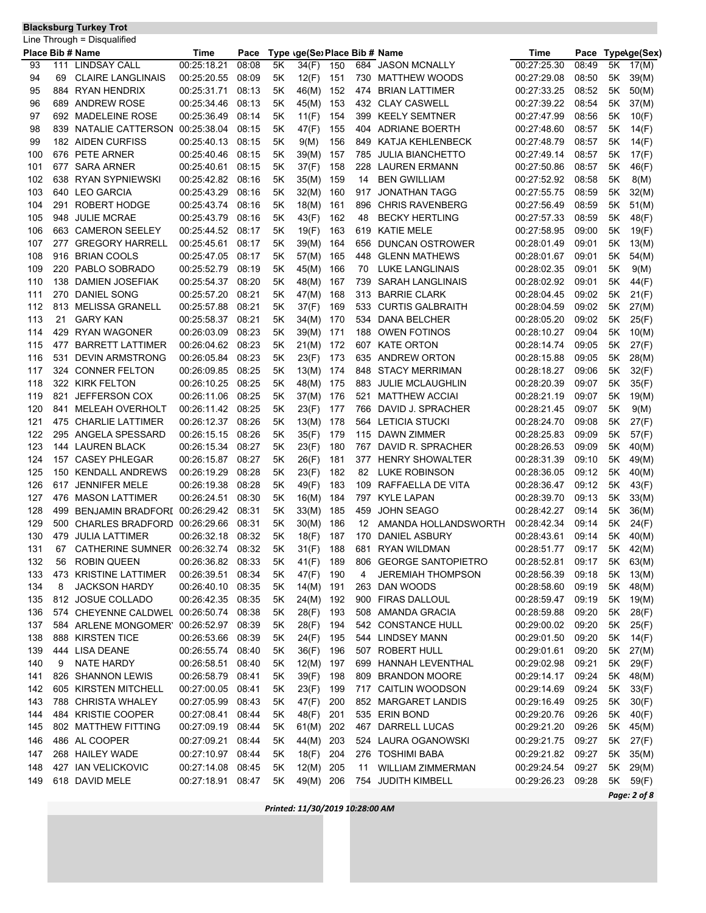## **Blacksburg Turkey Trot**

|     |     | Line Through = Disqualified      |                   |       |    |                               |     |     |                          |             |       |    |              |
|-----|-----|----------------------------------|-------------------|-------|----|-------------------------------|-----|-----|--------------------------|-------------|-------|----|--------------|
|     |     | Place Bib # Name                 | Time              | Pace  |    | Type \ge(Se) Place Bib # Name |     |     |                          | Time        | Pace  |    | Type\ge(Sex) |
| 93  | 111 | <b>LINDSAY CALL</b>              | 00:25:18.21       | 08:08 | 5K | 34(F)                         | 150 |     | 684 JASON MCNALLY        | 00:27:25.30 | 08:49 | 5Κ | 17(M)        |
| 94  | 69  | <b>CLAIRE LANGLINAIS</b>         | 00:25:20.55       | 08:09 | 5Κ | 12(F)                         | 151 | 730 | <b>MATTHEW WOODS</b>     | 00:27:29.08 | 08:50 | 5Κ | 39(M)        |
| 95  |     | 884 RYAN HENDRIX                 | 00:25:31.71       | 08:13 | 5Κ | 46(M)                         | 152 | 474 | <b>BRIAN LATTIMER</b>    | 00:27:33.25 | 08:52 | 5Κ | 50(M)        |
| 96  | 689 | ANDREW ROSE                      | 00:25:34.46       | 08:13 | 5K | 45(M)                         | 153 |     | 432 CLAY CASWELL         | 00:27:39.22 | 08:54 | 5Κ | 37(M)        |
| 97  |     | 692 MADELEINE ROSE               | 00:25:36.49       | 08:14 | 5K | 11(F)                         | 154 | 399 | <b>KEELY SEMTNER</b>     | 00:27:47.99 | 08:56 | 5Κ | 10(F)        |
| 98  |     | 839 NATALIE CATTERSON            | 00:25:38.04       | 08:15 | 5K | 47(F)                         | 155 |     | 404 ADRIANE BOERTH       | 00:27:48.60 | 08:57 | 5Κ | 14(F)        |
| 99  |     | 182 AIDEN CURFISS                | 00:25:40.13       | 08:15 | 5Κ | 9(M)                          | 156 | 849 | KATJA KEHLENBECK         | 00:27:48.79 | 08:57 | 5Κ | 14(F)        |
| 100 |     | 676 PETE ARNER                   | 00:25:40.46       | 08:15 | 5Κ | 39(M)                         | 157 | 785 | <b>JULIA BIANCHETTO</b>  | 00:27:49.14 | 08:57 | 5Κ | 17(F)        |
| 101 |     | 677 SARA ARNER                   | 00:25:40.61       | 08:15 | 5K | 37(F)                         | 158 | 228 | LAUREN ERMANN            | 00:27:50.86 | 08:57 | 5Κ | 46(F)        |
| 102 |     | 638 RYAN SYPNIEWSKI              | 00:25:42.82       | 08:16 | 5K | 35(M)                         | 159 | 14  | <b>BEN GWILLIAM</b>      | 00:27:52.92 | 08:58 | 5Κ | 8(M)         |
| 103 |     | 640 LEO GARCIA                   | 00:25:43.29       | 08:16 | 5K | 32(M)                         | 160 | 917 | <b>JONATHAN TAGG</b>     | 00:27:55.75 | 08:59 | 5Κ | 32(M)        |
| 104 | 291 | <b>ROBERT HODGE</b>              | 00:25:43.74       | 08:16 | 5K |                               | 161 | 896 | <b>CHRIS RAVENBERG</b>   | 00:27:56.49 | 08:59 | 5K |              |
|     |     |                                  |                   |       |    | 18(M)                         |     |     |                          |             |       |    | 51(M)        |
| 105 | 948 | <b>JULIE MCRAE</b>               | 00:25:43.79       | 08:16 | 5Κ | 43(F)                         | 162 | 48  | <b>BECKY HERTLING</b>    | 00:27:57.33 | 08:59 | 5Κ | 48(F)        |
| 106 |     | 663 CAMERON SEELEY               | 00:25:44.52       | 08:17 | 5Κ | 19(F)                         | 163 | 619 | KATIE MELE               | 00:27:58.95 | 09:00 | 5Κ | 19(F)        |
| 107 | 277 | <b>GREGORY HARRELL</b>           | 00:25:45.61       | 08:17 | 5Κ | 39(M)                         | 164 | 656 | DUNCAN OSTROWER          | 00:28:01.49 | 09:01 | 5Κ | 13(M)        |
| 108 | 916 | <b>BRIAN COOLS</b>               | 00:25:47.05       | 08:17 | 5K | 57(M)                         | 165 | 448 | <b>GLENN MATHEWS</b>     | 00:28:01.67 | 09:01 | 5Κ | 54(M)        |
| 109 | 220 | PABLO SOBRADO                    | 00:25:52.79       | 08:19 | 5K | 45(M)                         | 166 | 70  | <b>LUKE LANGLINAIS</b>   | 00:28:02.35 | 09:01 | 5Κ | 9(M)         |
| 110 | 138 | DAMIEN JOSEFIAK                  | 00:25:54.37       | 08:20 | 5K | 48(M)                         | 167 | 739 | <b>SARAH LANGLINAIS</b>  | 00:28:02.92 | 09:01 | 5Κ | 44(F)        |
| 111 |     | 270 DANIEL SONG                  | 00:25:57.20       | 08:21 | 5Κ | 47(M)                         | 168 |     | 313 BARRIE CLARK         | 00:28:04.45 | 09:02 | 5Κ | 21(F)        |
| 112 |     | 813 MELISSA GRANELL              | 00:25:57.88       | 08:21 | 5Κ | 37(F)                         | 169 |     | 533 CURTIS GALBRAITH     | 00:28:04.59 | 09:02 | 5Κ | 27(M)        |
| 113 | 21  | <b>GARY KAN</b>                  | 00:25:58.37       | 08:21 | 5Κ | 34(M)                         | 170 | 534 | DANA BELCHER             | 00:28:05.20 | 09:02 | 5Κ | 25(F)        |
| 114 | 429 | <b>RYAN WAGONER</b>              | 00:26:03.09       | 08:23 | 5K | 39(M)                         | 171 | 188 | <b>OWEN FOTINOS</b>      | 00:28:10.27 | 09:04 | 5Κ | 10(M)        |
| 115 | 477 | <b>BARRETT LATTIMER</b>          | 00:26:04.62       | 08:23 | 5K | 21(M)                         | 172 |     | 607 KATE ORTON           | 00:28:14.74 | 09:05 | 5Κ | 27(F)        |
| 116 | 531 | <b>DEVIN ARMSTRONG</b>           | 00:26:05.84       | 08:23 | 5Κ | 23(F)                         | 173 | 635 | ANDREW ORTON             | 00:28:15.88 | 09:05 | 5Κ | 28(M)        |
| 117 |     | 324 CONNER FELTON                | 00:26:09.85       | 08:25 | 5Κ | 13(M)                         | 174 | 848 | <b>STACY MERRIMAN</b>    | 00:28:18.27 | 09:06 | 5Κ | 32(F)        |
| 118 |     | 322 KIRK FELTON                  | 00:26:10.25       | 08:25 | 5Κ | 48(M)                         | 175 | 883 | <b>JULIE MCLAUGHLIN</b>  | 00:28:20.39 | 09:07 | 5Κ | 35(F)        |
| 119 | 821 | <b>JEFFERSON COX</b>             | 00:26:11.06       | 08:25 | 5Κ | 37(M)                         | 176 | 521 | <b>MATTHEW ACCIAI</b>    | 00:28:21.19 | 09:07 | 5Κ | 19(M)        |
| 120 | 841 | <b>MELEAH OVERHOLT</b>           | 00:26:11.42       | 08:25 | 5Κ | 23(F)                         | 177 | 766 | DAVID J. SPRACHER        | 00:28:21.45 | 09:07 | 5Κ | 9(M)         |
| 121 | 475 | <b>CHARLIE LATTIMER</b>          | 00:26:12.37       | 08:26 | 5K | 13(M)                         | 178 |     | 564 LETICIA STUCKI       | 00:28:24.70 | 09:08 | 5Κ | 27(F)        |
| 122 |     | 295 ANGELA SPESSARD              | 00:26:15.15       | 08:26 | 5K | 35(F)                         | 179 | 115 | DAWN ZIMMER              | 00:28:25.83 | 09:09 | 5Κ | 57(F)        |
| 123 |     | 144 LAUREN BLACK                 | 00:26:15.34       | 08:27 | 5Κ | 23(F)                         | 180 |     | 767 DAVID R. SPRACHER    | 00:28:26.53 | 09:09 | 5Κ | 40(M)        |
| 124 |     | 157 CASEY PHLEGAR                | 00:26:15.87       | 08:27 | 5Κ |                               | 181 | 377 | <b>HENRY SHOWALTER</b>   | 00:28:31.39 | 09:10 | 5Κ |              |
|     |     |                                  |                   |       |    | 26(F)                         |     |     |                          |             |       |    | 49(M)        |
| 125 | 150 | <b>KENDALL ANDREWS</b>           | 00:26:19.29       | 08:28 | 5Κ | 23(F)                         | 182 | 82  | <b>LUKE ROBINSON</b>     | 00:28:36.05 | 09:12 | 5Κ | 40(M)        |
| 126 | 617 | <b>JENNIFER MELE</b>             | 00:26:19.38       | 08:28 | 5Κ | 49(F)                         | 183 | 109 | RAFFAELLA DE VITA        | 00:28:36.47 | 09:12 | 5K | 43(F)        |
| 127 |     | 476 MASON LATTIMER               | 00:26:24.51       | 08:30 | 5K | 16(M)                         | 184 | 797 | KYLE LAPAN               | 00:28:39.70 | 09:13 | 5Κ | 33(M)        |
| 128 | 499 | BENJAMIN BRADFORI 00:26:29.42    |                   | 08:31 | 5Κ | 33(M)                         | 185 | 459 | <b>JOHN SEAGO</b>        | 00:28:42.27 | 09:14 | 5Κ | 36(M)        |
| 129 | 500 | <b>CHARLES BRADFORD</b>          | 00:26:29.66       | 08:31 | 5Κ | 30(M)                         | 186 | 12  | AMANDA HOLLANDSWORTH     | 00:28:42.34 | 09:14 | 5Κ | 24(F)        |
| 130 | 479 | <b>JULIA LATTIMER</b>            | 00:26:32.18       | 08:32 | 5Κ | 18(F)                         | 187 | 170 | DANIEL ASBURY            | 00:28:43.61 | 09:14 | 5Κ | 40(M)        |
| 131 | 67  | CATHERINE SUMNER                 | 00:26:32.74       | 08:32 | 5Κ | 31(F)                         | 188 | 681 | <b>RYAN WILDMAN</b>      | 00:28:51.77 | 09:17 | 5Κ | 42(M)        |
| 132 | 56  | <b>ROBIN QUEEN</b>               | 00:26:36.82 08:33 |       | 5K | 41(F)                         | 189 |     | 806 GEORGE SANTOPIETRO   | 00:28:52.81 | 09:17 |    | 5K 63(M)     |
| 133 |     | 473 KRISTINE LATTIMER            | 00:26:39.51       | 08:34 | 5K | 47(F)                         | 190 | 4   | <b>JEREMIAH THOMPSON</b> | 00:28:56.39 | 09:18 | 5K | 13(M)        |
| 134 | 8   | <b>JACKSON HARDY</b>             | 00:26:40.10       | 08:35 | 5K | 14(M)                         | 191 |     | 263 DAN WOODS            | 00:28:58.60 | 09:19 | 5K | 48(M)        |
| 135 |     | 812 JOSUE COLLADO                | 00:26:42.35       | 08:35 | 5K | 24(M)                         | 192 |     | 900 FIRAS DALLOUL        | 00:28:59.47 | 09:19 | 5K | 19(M)        |
| 136 |     | 574 CHEYENNE CALDWEL             | 00:26:50.74       | 08:38 | 5K | 28(F)                         | 193 |     | 508 AMANDA GRACIA        | 00:28:59.88 | 09:20 | 5Κ | 28(F)        |
| 137 |     | 584 ARLENE MONGOMER' 00:26:52.97 |                   | 08:39 | 5Κ | 28(F)                         | 194 |     | 542 CONSTANCE HULL       | 00:29:00.02 | 09:20 | 5K | 25(F)        |
| 138 |     | 888 KIRSTEN TICE                 | 00:26:53.66       | 08:39 | 5K | 24(F)                         | 195 |     | 544 LINDSEY MANN         | 00:29:01.50 | 09:20 | 5K | 14(F)        |
| 139 |     | 444 LISA DEANE                   | 00:26:55.74       | 08:40 | 5K | 36(F)                         | 196 |     | 507 ROBERT HULL          | 00:29:01.61 | 09:20 | 5K | 27(M)        |
| 140 | 9   | <b>NATE HARDY</b>                | 00:26:58.51       | 08:40 | 5K | 12(M)                         | 197 |     | 699 HANNAH LEVENTHAL     | 00:29:02.98 | 09:21 | 5K | 29(F)        |
| 141 | 826 | <b>SHANNON LEWIS</b>             | 00:26:58.79       | 08:41 | 5Κ | 39(F)                         | 198 |     | 809 BRANDON MOORE        | 00:29:14.17 | 09:24 | 5K | 48(M)        |
| 142 |     | 605 KIRSTEN MITCHELL             | 00:27:00.05       | 08:41 | 5K | 23(F)                         | 199 |     | 717 CAITLIN WOODSON      | 00:29:14.69 | 09:24 | 5K | 33(F)        |
| 143 |     | 788 CHRISTA WHALEY               | 00:27:05.99       | 08:43 | 5Κ | 47(F)                         | 200 |     | 852 MARGARET LANDIS      | 00:29:16.49 | 09:25 | 5Κ |              |
|     |     |                                  |                   |       |    |                               |     |     |                          |             |       |    | 30(F)        |
| 144 |     | 484 KRISTIE COOPER               | 00:27:08.41       | 08:44 | 5K | 48(F)                         | 201 |     | 535 ERIN BOND            | 00:29:20.76 | 09:26 | 5K | 40(F)        |
| 145 |     | 802 MATTHEW FITTING              | 00:27:09.19       | 08:44 | 5Κ | 61(M)                         | 202 |     | 467 DARRELL LUCAS        | 00:29:21.20 | 09:26 | 5K | 45(M)        |
| 146 |     | 486 AL COOPER                    | 00:27:09.21       | 08:44 | 5K | 44(M)                         | 203 |     | 524 LAURA OGANOWSKI      | 00:29:21.75 | 09:27 | 5K | 27(F)        |
| 147 |     | 268 HAILEY WADE                  | 00:27:10.97       | 08:44 | 5K | 18(F)                         | 204 |     | 276 TOSHIMI BABA         | 00:29:21.82 | 09:27 | 5K | 35(M)        |
| 148 |     | 427 IAN VELICKOVIC               | 00:27:14.08       | 08:45 | 5K | 12(M)                         | 205 | 11  | <b>WILLIAM ZIMMERMAN</b> | 00:29:24.54 | 09:27 | 5K | 29(M)        |
| 149 |     | 618 DAVID MELE                   | 00:27:18.91       | 08:47 | 5K | 49(M)                         | 206 |     | 754 JUDITH KIMBELL       | 00:29:26.23 | 09:28 | 5K | 59(F)        |
|     |     |                                  |                   |       |    |                               |     |     |                          |             |       |    | $D222213260$ |

*Printed: 11/30/2019 10:28:00 AM*

*Page: 2 of 8*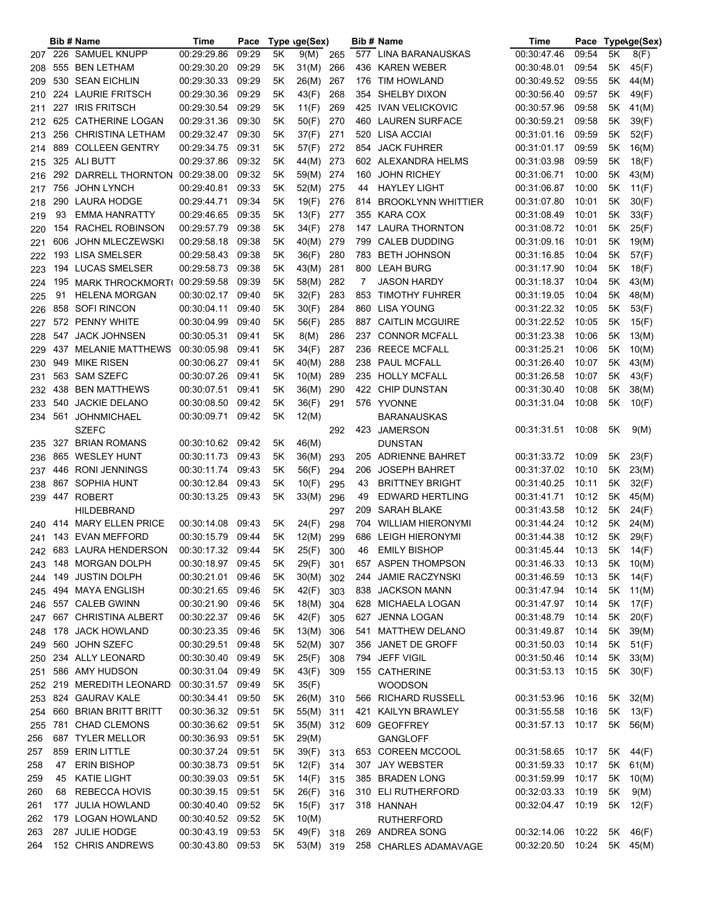|     |     | <b>Bib # Name</b>       | Time              | Pace  |               | Type (ge(Sex) |     |     | Bib # Name                | Time              | Pace  |      | Type\ge(Sex) |
|-----|-----|-------------------------|-------------------|-------|---------------|---------------|-----|-----|---------------------------|-------------------|-------|------|--------------|
|     |     | 207 226 SAMUEL KNUPP    | 00:29:29.86       | 09:29 | 5K            | 9(M)          | 265 |     | 577 LINA BARANAUSKAS      | 00:30:47.46       | 09:54 | 5K   | 8(F)         |
| 208 |     | 555 BEN LETHAM          | 00:29:30.20       | 09:29 | 5K            | 31(M)         | 266 |     | 436 KAREN WEBER           | 00:30:48.01       | 09:54 | 5K   | 45(F)        |
| 209 |     | 530 SEAN EICHLIN        | 00:29:30.33       | 09:29 | 5Κ            | 26(M)         | 267 | 176 | TIM HOWLAND               | 00:30:49.52       | 09:55 | 5K   | 44(M)        |
| 210 |     | 224 LAURIE FRITSCH      | 00:29:30.36       | 09:29 | 5Κ            | 43(F)         | 268 |     | 354 SHELBY DIXON          | 00:30:56.40       | 09:57 | 5K   | 49(F)        |
| 211 |     | 227 IRIS FRITSCH        | 00:29:30.54       | 09:29 | 5K            | 11(F)         | 269 |     | 425 IVAN VELICKOVIC       | 00:30:57.96       | 09:58 | 5K   | 41(M)        |
| 212 |     | 625 CATHERINE LOGAN     | 00:29:31.36       | 09:30 | 5Κ            | 50(F)         | 270 |     | 460 LAUREN SURFACE        | 00:30:59.21       | 09:58 | 5K   | 39(F)        |
| 213 |     | 256 CHRISTINA LETHAM    | 00:29:32.47       | 09:30 | 5K            | 37(F)         | 271 | 520 | LISA ACCIAI               | 00:31:01.16       | 09:59 | 5K   | 52(F)        |
|     |     | 889 COLLEEN GENTRY      | 00:29:34.75       | 09:31 | 5K            | 57(F)         | 272 | 854 | <b>JACK FUHRER</b>        | 00:31:01.17       | 09:59 | 5K   | 16(M)        |
| 214 |     | 325 ALI BUTT            | 00:29:37.86       | 09:32 | 5K            | 44(M)         | 273 |     | 602 ALEXANDRA HELMS       | 00:31:03.98       | 09:59 | 5K   | 18(F)        |
| 215 |     |                         |                   | 09:32 |               |               | 274 |     |                           |                   |       |      |              |
| 216 |     | 292 DARRELL THORNTON    | 00:29:38.00       |       | 5K            | 59(M)         |     | 160 | <b>JOHN RICHEY</b>        | 00:31:06.71       | 10:00 | 5K   | 43(M)        |
| 217 |     | 756 JOHN LYNCH          | 00:29:40.81       | 09:33 | 5K            | 52(M)         | 275 | 44  | <b>HAYLEY LIGHT</b>       | 00:31:06.87       | 10:00 | 5Κ   | 11(F)        |
| 218 |     | 290 LAURA HODGE         | 00:29:44.71       | 09:34 | 5Κ            | 19(F)         | 276 | 814 | <b>BROOKLYNN WHITTIER</b> | 00:31:07.80       | 10:01 | 5Κ   | 30(F)        |
| 219 | 93  | <b>EMMA HANRATTY</b>    | 00:29:46.65       | 09:35 | 5Κ            | 13(F)         | 277 |     | 355 KARA COX              | 00:31:08.49       | 10:01 | 5Κ   | 33(F)        |
| 220 |     | 154 RACHEL ROBINSON     | 00:29:57.79       | 09:38 | 5K            | 34(F)         | 278 |     | 147 LAURA THORNTON        | 00:31:08.72       | 10:01 | 5Κ   | 25(F)        |
| 221 | 606 | <b>JOHN MLECZEWSKI</b>  | 00:29:58.18       | 09:38 | 5K            | 40(M)         | 279 | 799 | <b>CALEB DUDDING</b>      | 00:31:09.16       | 10:01 | 5Κ   | 19(M)        |
| 222 |     | 193 LISA SMELSER        | 00:29:58.43       | 09:38 | 5K            | 36(F)         | 280 | 783 | <b>BETH JOHNSON</b>       | 00:31:16.85       | 10:04 | 5Κ   | 57(F)        |
| 223 |     | 194 LUCAS SMELSER       | 00:29:58.73       | 09:38 | 5K            | 43(M)         | 281 |     | 800 LEAH BURG             | 00:31:17.90       | 10:04 | 5K   | 18(F)        |
| 224 |     | 195 MARK THROCKMORT(    | 00:29:59.58       | 09:39 | 5Κ            | 58(M)         | 282 | 7   | <b>JASON HARDY</b>        | 00:31:18.37       | 10:04 | 5K   | 43(M)        |
| 225 | 91  | HELENA MORGAN           | 00:30:02.17       | 09:40 | 5Κ            | 32(F)         | 283 | 853 | TIMOTHY FUHRER            | 00:31:19.05       | 10:04 | 5K   | 48(M)        |
| 226 |     | 858 SOFI RINCON         | 00:30:04.11       | 09:40 | 5K            | 30(F)         | 284 |     | 860 LISA YOUNG            | 00:31:22.32       | 10:05 | 5K   | 53(F)        |
| 227 |     | 572 PENNY WHITE         | 00:30:04.99       | 09:40 | 5K            | 56(F)         | 285 |     | 887 CAITLIN MCGUIRE       | 00:31:22.52       | 10:05 | 5Κ   | 15(F)        |
| 228 |     | 547 JACK JOHNSEN        | 00:30:05.31       | 09:41 | 5Κ            | 8(M)          | 286 |     | 237 CONNOR MCFALL         | 00:31:23.38       | 10:06 | 5Κ   | 13(M)        |
| 229 | 437 | <b>MELANIE MATTHEWS</b> | 00:30:05.98       | 09:41 | 5K            | 34(F)         | 287 | 236 | <b>REECE MCFALL</b>       | 00:31:25.21       | 10:06 | 5Κ   | 10(M)        |
|     |     | 949 MIKE RISEN          | 00:30:06.27       | 09:41 | 5K            | 40(M)         | 288 | 238 | <b>PAUL MCFALL</b>        | 00:31:26.40       | 10:07 | 5K   | 43(M)        |
| 230 |     | 563 SAM SZEFC           | 00:30:07.26       | 09:41 | 5K            |               | 289 |     | 235 HOLLY MCFALL          | 00:31:26.58       | 10:07 | 5K   |              |
| 231 |     |                         |                   |       |               | 10(M)         |     |     |                           |                   |       |      | 43(F)        |
| 232 |     | 438 BEN MATTHEWS        | 00:30:07.51       | 09:41 | 5K            | 36(M)         | 290 |     | 422 CHIP DUNSTAN          | 00:31:30.40       | 10:08 | 5K   | 38(M)        |
| 233 |     | 540 JACKIE DELANO       | 00:30:08.50       | 09:42 | 5K            | 36(F)         | 291 |     | 576 YVONNE                | 00:31:31.04       | 10:08 | 5K   | 10(F)        |
| 234 | 561 | JOHNMICHAEL             | 00:30:09.71       | 09:42 | 5K            | 12(M)         |     |     | BARANAUSKAS               |                   |       |      |              |
|     |     | SZEFC                   |                   |       |               |               | 292 | 423 | JAMERSON                  | 00:31:31.51       | 10:08 | 5K   | 9(M)         |
| 235 |     | 327 BRIAN ROMANS        | 00:30:10.62 09:42 |       | 5K            | 46(M)         |     |     | DUNSTAN                   |                   |       |      |              |
| 236 |     | 865 WESLEY HUNT         | 00:30:11.73       | 09:43 | 5Κ            | 36(M)         | 293 |     | 205 ADRIENNE BAHRET       | 00:31:33.72       | 10:09 | 5K   | 23(F)        |
| 237 |     | 446 RONI JENNINGS       | 00:30:11.74       | 09:43 | 5K            | 56(F)         | 294 | 206 | <b>JOSEPH BAHRET</b>      | 00:31:37.02       | 10:10 | 5K   | 23(M)        |
| 238 |     | 867 SOPHIA HUNT         | 00:30:12.84       | 09:43 | 5K            | 10(F)         | 295 | 43  | <b>BRITTNEY BRIGHT</b>    | 00:31:40.25       | 10:11 | 5K   | 32(F)        |
| 239 |     | 447 ROBERT              | 00:30:13.25       | 09:43 | 5K            | 33(M)         | 296 | 49  | <b>EDWARD HERTLING</b>    | 00:31:41.71       | 10:12 | 5K   | 45(M)        |
|     |     | <b>HILDEBRAND</b>       |                   |       |               |               | 297 | 209 | SARAH BLAKE               | 00:31:43.58       | 10:12 | 5K   | 24(F)        |
| 240 |     | 414 MARY ELLEN PRICE    | 00:30:14.08       | 09:43 | 5K            | 24(F)         | 298 |     | 704 WILLIAM HIERONYMI     | 00:31:44.24       | 10:12 | 5K   | 24(M)        |
| 241 |     | 143 EVAN MEFFORD        | 00:30:15.79 09:44 |       | 5Κ            | 12(M)         | 299 |     | 686 LEIGH HIERONYMI       | 00:31:44.38       | 10:12 | 5K   | 29(F)        |
|     |     | 242 683 LAURA HENDERSON | 00:30:17.32 09:44 |       | $5\mathsf{K}$ | 25(F)         | 300 |     | 46 EMILY BISHOP           | 00:31:45.44 10:13 |       |      | 5K 14(F)     |
| 243 |     | 148 MORGAN DOLPH        | 00:30:18.97 09:45 |       | 5K            | 29(F)         | 301 |     | 657 ASPEN THOMPSON        | 00:31:46.33       | 10:13 | 5K   | 10(M)        |
| 244 |     | 149 JUSTIN DOLPH        | 00:30:21.01       | 09:46 | 5K            | 30(M)         | 302 |     | 244 JAMIE RACZYNSKI       | 00:31:46.59       | 10:13 | 5K   | 14(F)        |
| 245 |     | 494 MAYA ENGLISH        | 00:30:21.65 09:46 |       | 5Κ            | 42(F)         | 303 |     | 838 JACKSON MANN          | 00:31:47.94       | 10:14 | 5K   | 11(M)        |
| 246 |     | 557 CALEB GWINN         | 00:30:21.90 09:46 |       | 5K            | 18(M)         | 304 |     | 628 MICHAELA LOGAN        | 00:31:47.97       | 10:14 | 5K   | 17(F)        |
|     |     | 667 CHRISTINA ALBERT    | 00:30:22.37 09:46 |       | 5K            | 42(F)         |     |     | 627 JENNA LOGAN           | 00:31:48.79       | 10:14 | 5K   |              |
| 247 |     |                         | 00:30:23.35       |       |               |               | 305 |     |                           |                   |       |      | 20(F)        |
| 248 |     | 178 JACK HOWLAND        |                   | 09:46 | 5K            | 13(M)         | 306 |     | 541 MATTHEW DELANO        | 00:31:49.87       | 10:14 | 5K   | 39(M)        |
| 249 |     | 560 JOHN SZEFC          | 00:30:29.51       | 09:48 | 5Κ            | 52(M)         | 307 |     | 356 JANET DE GROFF        | 00:31:50.03       | 10:14 | 5K   | 51(F)        |
| 250 |     | 234 ALLY LEONARD        | 00:30:30.40       | 09:49 | 5Κ            | 25(F)         | 308 |     | 794 JEFF VIGIL            | 00:31:50.46       | 10:14 | 5K   | 33(M)        |
| 251 |     | 586 AMY HUDSON          | 00:30:31.04       | 09:49 | 5Κ            | 43(F)         | 309 |     | 155 CATHERINE             | 00:31:53.13       | 10:15 | 5K   | 30(F)        |
| 252 |     | 219 MEREDITH LEONARD    | 00:30:31.57       | 09:49 | 5Κ            | 35(F)         |     |     | <b>WOODSON</b>            |                   |       |      |              |
| 253 |     | 824 GAURAV KALE         | 00:30:34.41       | 09:50 | 5Κ            | 26(M) 310     |     |     | 566 RICHARD RUSSELL       | 00:31:53.96       | 10:16 | 5K   | 32(M)        |
| 254 |     | 660 BRIAN BRITT BRITT   | 00:30:36.32 09:51 |       | 5Κ            | 55(M) 311     |     |     | 421 KAILYN BRAWLEY        | 00:31:55.58       | 10:16 | 5K   | 13(F)        |
| 255 |     | 781 CHAD CLEMONS        | 00:30:36.62 09:51 |       | 5Κ            | 35(M) 312     |     |     | 609 GEOFFREY              | 00:31:57.13       | 10:17 |      | 5K 56(M)     |
| 256 |     | 687 TYLER MELLOR        | 00:30:36.93 09:51 |       | 5Κ            | 29(M)         |     |     | GANGLOFF                  |                   |       |      |              |
| 257 |     | 859 ERIN LITTLE         | 00:30:37.24       | 09:51 | 5K            | 39(F) 313     |     |     | 653 COREEN MCCOOL         | 00:31:58.65       | 10:17 |      | 5K 44(F)     |
| 258 | 47  | <b>ERIN BISHOP</b>      | 00:30:38.73       | 09:51 | 5K            | 12(F)         | 314 |     | 307 JAY WEBSTER           | 00:31:59.33       | 10:17 | 5K . | 61(M)        |
| 259 | 45  | <b>KATIE LIGHT</b>      | 00:30:39.03       | 09:51 | 5K            | 14(F)         | 315 |     | 385 BRADEN LONG           | 00:31:59.99       | 10:17 | 5K   | 10(M)        |
| 260 | 68  | REBECCA HOVIS           | 00:30:39.15       | 09:51 | 5K            | 26(F)         | 316 |     | 310 ELI RUTHERFORD        | 00:32:03.33       | 10:19 | 5Κ   | 9(M)         |
| 261 |     | 177 JULIA HOWLAND       | 00:30:40.40       | 09:52 | 5K            | 15(F)         | 317 |     | 318 HANNAH                | 00:32:04.47       | 10:19 | 5K   | 12(F)        |
| 262 |     | 179 LOGAN HOWLAND       | 00:30:40.52       | 09:52 | 5K            | 10(M)         |     |     | <b>RUTHERFORD</b>         |                   |       |      |              |
| 263 |     | 287 JULIE HODGE         | 00:30:43.19       | 09:53 | 5Κ            | 49(F)         | 318 |     | 269 ANDREA SONG           | 00:32:14.06       | 10:22 |      | 5K 46(F)     |
|     |     | 152 CHRIS ANDREWS       | 00:30:43.80 09:53 |       |               |               |     |     |                           |                   | 10:24 |      | 5K 45(M)     |
| 264 |     |                         |                   |       | 5K            | 53(M) 319     |     |     | 258 CHARLES ADAMAVAGE     | 00:32:20.50       |       |      |              |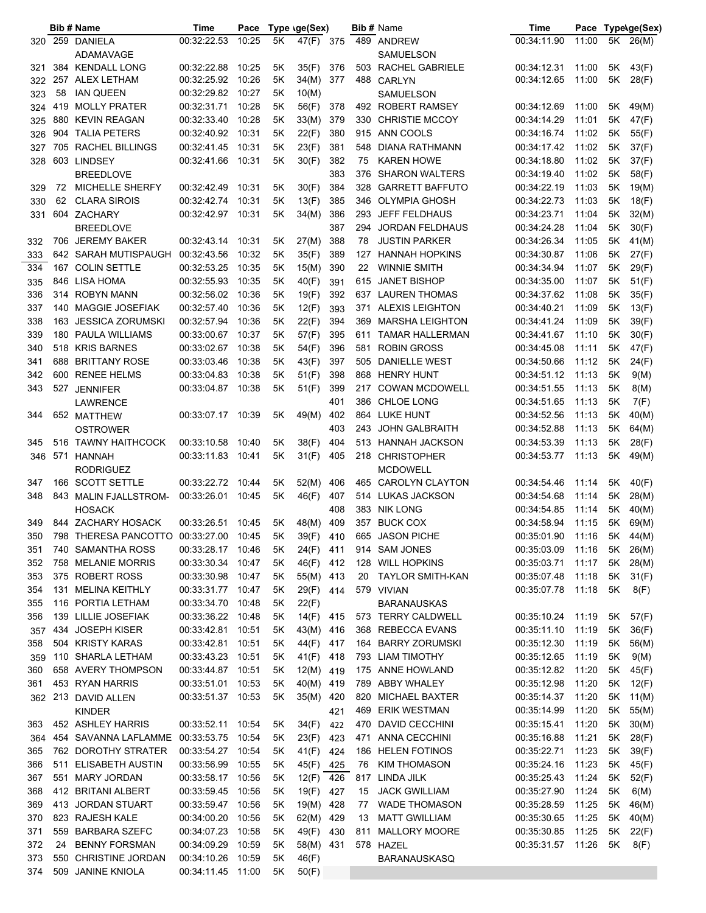|     |    | <b>Bib # Name</b>                      | Time              | Pace  |    | Type (ge(Sex) |     |     | <b>Bib # Name</b>      | Time              |       |      | Pace Type\ge(Sex) |
|-----|----|----------------------------------------|-------------------|-------|----|---------------|-----|-----|------------------------|-------------------|-------|------|-------------------|
|     |    | 320 259 DANIELA                        | 00:32:22.53       | 10:25 | 5K | 47(F) 375     |     |     | 489 ANDREW             | 00:34:11.90       | 11:00 |      | 5K 26(M)          |
|     |    | ADAMAVAGE                              |                   |       |    |               |     |     | SAMUELSON              |                   |       |      |                   |
| 321 |    | 384 KENDALL LONG                       | 00:32:22.88       | 10:25 | 5K | 35(F)         | 376 |     | 503 RACHEL GABRIELE    | 00:34:12.31       | 11:00 | 5K   | 43(F)             |
| 322 |    | 257 ALEX LETHAM                        | 00:32:25.92       | 10:26 | 5Κ | 34(M)         | 377 | 488 | CARLYN                 | 00:34:12.65       | 11:00 | 5K   | 28(F)             |
| 323 | 58 | <b>IAN QUEEN</b>                       | 00:32:29.82       | 10:27 | 5K | 10(M)         |     |     | <b>SAMUELSON</b>       |                   |       |      |                   |
| 324 |    | 419 MOLLY PRATER                       | 00:32:31.71       | 10:28 | 5K | 56(F)         | 378 |     | 492 ROBERT RAMSEY      | 00:34:12.69       | 11:00 | 5K . | 49(M)             |
| 325 |    | 880 KEVIN REAGAN                       | 00:32:33.40       | 10:28 | 5K | 33(M)         | 379 |     | 330 CHRISTIE MCCOY     | 00:34:14.29       | 11:01 | 5K   | 47(F)             |
| 326 |    | 904 TALIA PETERS                       | 00:32:40.92       | 10:31 | 5Κ | 22(F)         | 380 |     | 915 ANN COOLS          | 00:34:16.74       | 11:02 | 5K   | 55(F)             |
| 327 |    | 705 RACHEL BILLINGS                    | 00:32:41.45       | 10:31 | 5Κ | 23(F)         | 381 | 548 | <b>DIANA RATHMANN</b>  | 00:34:17.42       | 11:02 | 5K   | 37(F)             |
| 328 |    | 603 LINDSEY                            | 00:32:41.66       | 10:31 | 5Κ | 30(F)         | 382 | 75  | <b>KAREN HOWE</b>      | 00:34:18.80       | 11:02 | 5K   | 37(F)             |
|     |    | <b>BREEDLOVE</b>                       |                   |       |    |               | 383 | 376 | <b>SHARON WALTERS</b>  | 00:34:19.40       | 11:02 | 5K   | 58(F)             |
| 329 | 72 | MICHELLE SHERFY                        | 00:32:42.49       | 10:31 | 5K | 30(F)         | 384 | 328 | <b>GARRETT BAFFUTO</b> | 00:34:22.19       | 11:03 | 5K   | 19(M)             |
| 330 | 62 | <b>CLARA SIROIS</b>                    | 00:32:42.74       | 10:31 | 5K | 13(F)         | 385 |     | 346 OLYMPIA GHOSH      | 00:34:22.73       | 11:03 | 5K   | 18(F)             |
| 331 |    | 604 ZACHARY                            | 00:32:42.97       | 10:31 | 5Κ | 34(M)         | 386 | 293 | <b>JEFF FELDHAUS</b>   | 00:34:23.71       | 11:04 | 5K   | 32(M)             |
|     |    | <b>BREEDLOVE</b>                       |                   |       |    |               | 387 | 294 | <b>JORDAN FELDHAUS</b> | 00:34:24.28       | 11:04 | 5K   | 30(F)             |
| 332 |    | 706 JEREMY BAKER                       | 00:32:43.14       | 10:31 | 5K | 27(M)         | 388 | 78  | <b>JUSTIN PARKER</b>   | 00:34:26.34       | 11:05 | 5K   | 41(M)             |
| 333 |    | 642 SARAH MUTISPAUGH                   | 00:32:43.56       | 10:32 | 5Κ | 35(F)         | 389 |     | 127 HANNAH HOPKINS     | 00:34:30.87       | 11:06 | 5K   | 27(F)             |
| 334 |    | 167 COLIN SETTLE                       | 00:32:53.25       | 10:35 | 5K | 15(M)         | 390 | 22  | <b>WINNIE SMITH</b>    | 00:34:34.94       | 11:07 | 5K   | 29(F)             |
| 335 |    | 846 LISA HOMA                          | 00:32:55.93       | 10:35 | 5Κ | 40(F)         | 391 | 615 | <b>JANET BISHOP</b>    | 00:34:35.00       | 11:07 | 5K   | 51(F)             |
| 336 |    | 314 ROBYN MANN                         | 00:32:56.02       | 10:36 | 5K | 19(F)         | 392 |     | 637 LAUREN THOMAS      | 00:34:37.62       | 11:08 | 5K   | 35(F)             |
| 337 |    | 140 MAGGIE JOSEFIAK                    | 00:32:57.40       | 10:36 | 5K | 12(F)         | 393 | 371 | <b>ALEXIS LEIGHTON</b> | 00:34:40.21       | 11:09 | 5K   | 13(F)             |
| 338 |    | 163 JESSICA ZORUMSKI                   | 00:32:57.94       | 10:36 | 5K | 22(F)         | 394 |     | 369 MARSHA LEIGHTON    | 00:34:41.24       | 11:09 | 5K   | 39(F)             |
| 339 |    | 180 PAULA WILLIAMS                     | 00:33:00.67       | 10:37 | 5K | 57(F)         | 395 |     | 611 TAMAR HALLERMAN    | 00:34:41.67       | 11:10 | 5K   | 30(F)             |
| 340 |    | 518 KRIS BARNES                        | 00:33:02.67       | 10:38 |    |               | 396 | 581 | <b>ROBIN GROSS</b>     |                   | 11:11 |      |                   |
|     |    |                                        |                   |       | 5K | 54(F)         |     |     |                        | 00:34:45.08       |       | 5K   | 47(F)             |
| 341 |    | 688 BRITTANY ROSE                      | 00:33:03.46       | 10:38 | 5K | 43(F)         | 397 | 505 | DANIELLE WEST          | 00:34:50.66       | 11:12 | 5K   | 24(F)             |
| 342 |    | 600 RENEE HELMS                        | 00:33:04.83       | 10:38 | 5Κ | 51(F)         | 398 |     | 868 HENRY HUNT         | 00:34:51.12       | 11:13 | 5K   | 9(M)              |
| 343 |    | 527 JENNIFER                           | 00:33:04.87       | 10:38 | 5Κ | 51(F)         | 399 |     | 217 COWAN MCDOWELL     | 00:34:51.55       | 11:13 | 5K   | 8(M)              |
|     |    | <b>LAWRENCE</b>                        |                   |       |    |               | 401 | 386 | CHLOE LONG             | 00:34:51.65       | 11:13 | 5K   | 7(F)              |
| 344 |    | 652 MATTHEW                            | 00:33:07.17       | 10:39 | 5K | 49(M)         | 402 |     | 864 LUKE HUNT          | 00:34:52.56       | 11:13 | 5K   | 40(M)             |
|     |    | <b>OSTROWER</b>                        |                   |       |    |               | 403 |     | 243 JOHN GALBRAITH     | 00:34:52.88       | 11:13 | 5K   | 64(M)             |
| 345 |    | 516 TAWNY HAITHCOCK                    | 00:33:10.58       | 10:40 | 5K | 38(F)         | 404 |     | 513 HANNAH JACKSON     | 00:34:53.39       | 11:13 | 5K   | 28(F)             |
| 346 |    | 571 HANNAH                             | 00:33:11.83       | 10:41 | 5K | 31(F)         | 405 |     | 218 CHRISTOPHER        | 00:34:53.77       | 11:13 | 5K   | 49(M)             |
|     |    | <b>RODRIGUEZ</b>                       |                   |       |    |               |     |     | <b>MCDOWELL</b>        |                   |       |      |                   |
| 347 |    | 166 SCOTT SETTLE                       | 00:33:22.72       | 10:44 | 5K | 52(M)         | 406 |     | 465 CAROLYN CLAYTON    | 00:34:54.46       | 11:14 | 5K   | 40(F)             |
| 348 |    | 843 MALIN FJALLSTROM-                  | 00:33:26.01       | 10:45 | 5K | 46(F)         | 407 |     | 514 LUKAS JACKSON      | 00:34:54.68       | 11:14 | 5K   | 28(M)             |
|     |    | <b>HOSACK</b>                          |                   |       |    |               | 408 |     | 383 NIK LONG           | 00:34:54.85       | 11:14 | 5K   | 40(M)             |
| 349 |    | 844 ZACHARY HOSACK                     | 00:33:26.51       | 10:45 | 5Κ | 48(M)         | 409 |     | 357 BUCK COX           | 00:34:58.94       | 11:15 | 5K   | 69(M)             |
| 350 |    | 798 THERESA PANCOTTO 00:33:27.00 10:45 |                   |       | 5K | 39(F)         | 410 |     | 665 JASON PICHE        | 00:35:01.90 11:16 |       |      | 5K 44(M)          |
| 351 |    | 740 SAMANTHA ROSS                      | 00:33:28.17 10:46 |       | 5K | 24(F) 411     |     |     | 914 SAM JONES          | 00:35:03.09       | 11:16 |      | 5K 26(M)          |
| 352 |    | 758 MELANIE MORRIS                     | 00:33:30.34       | 10:47 | 5K | 46(F)         | 412 |     | 128 WILL HOPKINS       | 00:35:03.71       | 11:17 | 5K   | 28(M)             |
| 353 |    | 375 ROBERT ROSS                        | 00:33:30.98       | 10:47 | 5Κ | 55(M) 413     |     | 20  | TAYLOR SMITH-KAN       | 00:35:07.48       | 11:18 | 5K   | 31(F)             |
| 354 |    | 131 MELINA KEITHLY                     | 00:33:31.77       | 10:47 | 5Κ | 29(F)         | 414 |     | 579 VIVIAN             | 00:35:07.78       | 11:18 | 5K   | 8(F)              |
| 355 |    | 116 PORTIA LETHAM                      | 00:33:34.70       | 10:48 | 5K | 22(F)         |     |     | <b>BARANAUSKAS</b>     |                   |       |      |                   |
| 356 |    | 139 LILLIE JOSEFIAK                    | 00:33:36.22       | 10:48 | 5K | 14(F) 415     |     |     | 573 TERRY CALDWELL     | 00:35:10.24       | 11:19 | 5K   | 57(F)             |
| 357 |    | 434 JOSEPH KISER                       | 00:33:42.81       | 10:51 | 5K | 43(M) 416     |     |     | 368 REBECCA EVANS      | 00:35:11.10       | 11:19 | 5K   | 36(F)             |
| 358 |    | 504 KRISTY KARAS                       | 00:33:42.81       | 10:51 | 5K | 44(F) 417     |     |     | 164 BARRY ZORUMSKI     | 00:35:12.30       | 11:19 | 5K   | 56(M)             |
| 359 |    | 110 SHARLA LETHAM                      | 00:33:43.23       | 10:51 | 5K | 41(F) 418     |     |     | 793 LIAM TIMOTHY       | 00:35:12.65       | 11:19 | 5K   | 9(M)              |
| 360 |    | 658 AVERY THOMPSON                     | 00:33:44.87       | 10:51 | 5Κ | 12(M) 419     |     |     | 175 ANNE HOWLAND       | 00:35:12.82       | 11:20 | 5K   | 45(F)             |
| 361 |    | 453 RYAN HARRIS                        | 00:33:51.01       | 10:53 | 5K | 40(M) 419     |     |     | 789 ABBY WHALEY        | 00:35:12.98       | 11:20 | 5K   | 12(F)             |
|     |    | 362 213 DAVID ALLEN                    | 00:33:51.37       | 10:53 | 5K | 35(M) 420     |     |     | 820 MICHAEL BAXTER     | 00:35:14.37       | 11:20 | 5K   | 11(M)             |
|     |    | <b>KINDER</b>                          |                   |       |    |               | 421 |     | 469 ERIK WESTMAN       | 00:35:14.99       | 11:20 | 5K   | 55(M)             |
| 363 |    | 452 ASHLEY HARRIS                      | 00:33:52.11       | 10:54 | 5K | 34(F)         | 422 |     | 470 DAVID CECCHINI     | 00:35:15.41       | 11:20 | 5K   | 30(M)             |
| 364 |    | 454 SAVANNA LAFLAMME                   | 00:33:53.75       | 10:54 | 5K | 23(F)         | 423 |     | 471 ANNA CECCHINI      | 00:35:16.88       | 11:21 | 5K   | 28(F)             |
| 365 |    | 762 DOROTHY STRATER                    | 00:33:54.27       | 10:54 | 5K | 41(F)         | 424 |     | 186 HELEN FOTINOS      | 00:35:22.71       | 11:23 | 5K   | 39(F)             |
| 366 |    | 511 ELISABETH AUSTIN                   | 00:33:56.99       | 10:55 | 5K | 45(F)         | 425 | 76  | <b>KIM THOMASON</b>    | 00:35:24.16       | 11:23 | 5K   | 45(F)             |
| 367 |    | 551 MARY JORDAN                        | 00:33:58.17       | 10:56 | 5K | 12(F) 426     |     |     | 817 LINDA JILK         | 00:35:25.43       | 11:24 | 5K   | 52(F)             |
| 368 |    | 412 BRITANI ALBERT                     | 00:33:59.45       | 10:56 | 5Κ | 19(F)         | 427 | 15  | <b>JACK GWILLIAM</b>   | 00:35:27.90       | 11:24 | 5K   | 6(M)              |
| 369 |    | 413 JORDAN STUART                      | 00:33:59.47       | 10:56 | 5Κ | 19(M)         | 428 | 77  | <b>WADE THOMASON</b>   | 00:35:28.59       | 11:25 | 5K   | 46(M)             |
| 370 |    | 823 RAJESH KALE                        | 00:34:00.20       | 10:56 | 5Κ | 62(M)         | 429 | 13  | <b>MATT GWILLIAM</b>   | 00:35:30.65       | 11:25 | 5K   | 40(M)             |
| 371 |    | 559 BARBARA SZEFC                      | 00:34:07.23       | 10:58 | 5K | 49(F)         | 430 |     | 811 MALLORY MOORE      | 00:35:30.85       | 11:25 | 5Κ   | 22(F)             |
| 372 | 24 | <b>BENNY FORSMAN</b>                   | 00:34:09.29       | 10:59 | 5K | 58(M) 431     |     |     | 578 HAZEL              | 00:35:31.57       | 11:26 | 5K   | 8(F)              |
|     |    | 550 CHRISTINE JORDAN                   |                   | 10:59 | 5K |               |     |     |                        |                   |       |      |                   |
| 373 |    | 509 JANINE KNIOLA                      | 00:34:10.26       |       |    | 46(F)         |     |     | BARANAUSKASQ           |                   |       |      |                   |
| 374 |    |                                        | 00:34:11.45 11:00 |       | 5K | 50(F)         |     |     |                        |                   |       |      |                   |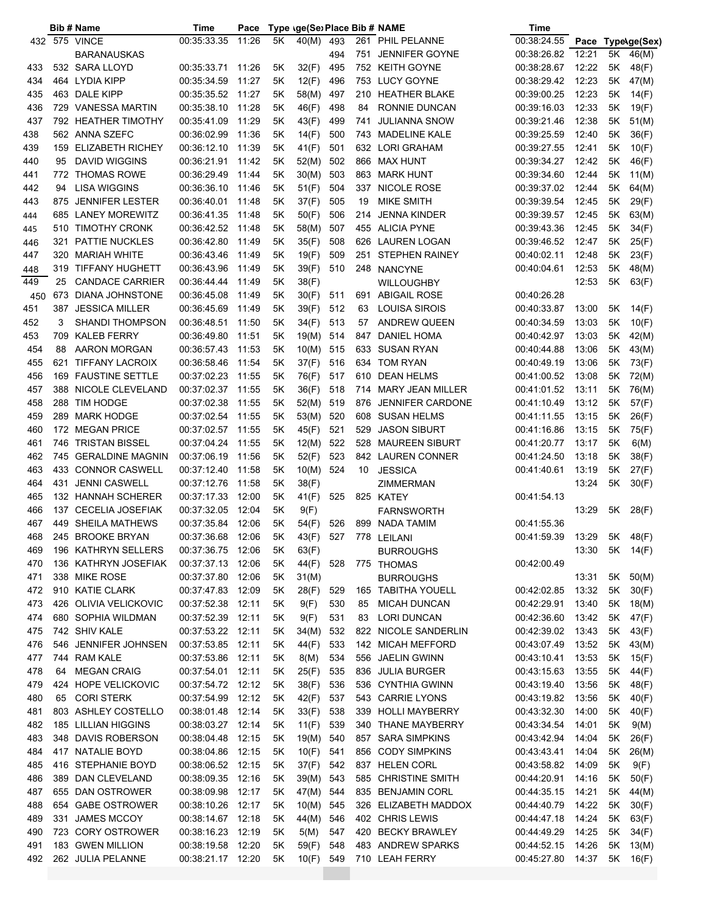|     |     | <b>Bib # Name</b>       | Time              | Pace  |    | Type \ge(Se) Place Bib # NAME |            |          |                                           | Time        |                |      |                   |
|-----|-----|-------------------------|-------------------|-------|----|-------------------------------|------------|----------|-------------------------------------------|-------------|----------------|------|-------------------|
|     |     | 432 575 VINCE           | 00:35:33.35       | 11:26 | 5K | 40(M)                         | 493        |          | 261 PHIL PELANNE                          | 00:38:24.55 |                |      | Pace Type\ge(Sex) |
|     |     | <b>BARANAUSKAS</b>      |                   |       |    |                               | 494        |          | 751 JENNIFER GOYNE                        | 00:38:26.82 | 12:21          | 5K   | 46(M)             |
| 433 |     | 532 SARA LLOYD          | 00:35:33.71       | 11:26 | 5K | 32(F)                         | 495        |          | 752 KEITH GOYNE                           | 00:38:28.67 | 12:22          | 5K   | 48(F)             |
| 434 |     | 464 LYDIA KIPP          | 00:35:34.59       | 11:27 | 5K | 12(F)                         | 496        | 753      | <b>LUCY GOYNE</b>                         | 00:38:29.42 | 12:23          | 5K   | 47(M)             |
| 435 |     | 463 DALE KIPP           | 00:35:35.52       | 11:27 | 5K | 58(M)                         | 497        | 210      | <b>HEATHER BLAKE</b>                      | 00:39:00.25 | 12:23          | 5Κ   | 14(F)             |
| 436 |     | 729 VANESSA MARTIN      | 00:35:38.10       | 11:28 | 5K | 46(F)                         | 498        | 84       | RONNIE DUNCAN                             | 00:39:16.03 | 12:33          | 5Κ   | 19(F)             |
| 437 |     | 792 HEATHER TIMOTHY     | 00:35:41.09       | 11:29 | 5K | 43(F)                         | 499        | 741      | <b>JULIANNA SNOW</b>                      | 00:39:21.46 | 12:38          | 5K   | 51(M)             |
| 438 |     | 562 ANNA SZEFC          | 00:36:02.99       | 11:36 | 5K | 14(F)                         | 500        |          | 743 MADELINE KALE                         | 00:39:25.59 | 12:40          | 5Κ   | 36(F)             |
| 439 | 159 | <b>ELIZABETH RICHEY</b> | 00:36:12.10       | 11:39 | 5K | 41(F)                         | 501        |          | 632 LORI GRAHAM                           | 00:39:27.55 | 12:41          | 5Κ   | 10(F)             |
| 440 | 95  | <b>DAVID WIGGINS</b>    | 00:36:21.91       | 11:42 | 5K | 52(M)                         | 502        | 866      | MAX HUNT                                  | 00:39:34.27 | 12:42          | 5K   | 46(F)             |
| 441 | 772 | <b>THOMAS ROWE</b>      | 00:36:29.49       | 11:44 | 5Κ | 30(M)                         | 503        | 863      | <b>MARK HUNT</b>                          | 00:39:34.60 | 12:44          | 5Κ   | 11(M)             |
| 442 | 94  | <b>LISA WIGGINS</b>     | 00:36:36.10       | 11:46 | 5K | 51(F)                         | 504        | 337      | NICOLE ROSE                               | 00:39:37.02 | 12:44          | 5Κ   | 64(M)             |
| 443 | 875 | <b>JENNIFER LESTER</b>  | 00:36:40.01       | 11:48 | 5K | 37(F)                         | 505        | 19       | <b>MIKE SMITH</b>                         | 00:39:39.54 | 12:45          | 5Κ   | 29(F)             |
| 444 | 685 | <b>LANEY MOREWITZ</b>   | 00:36:41.35       | 11:48 | 5K | 50(F)                         | 506        | 214      | <b>JENNA KINDER</b>                       | 00:39:39.57 | 12:45          | 5K   | 63(M)             |
| 445 | 510 | <b>TIMOTHY CRONK</b>    | 00:36:42.52       | 11:48 | 5K | 58(M)                         | 507        |          | 455 ALICIA PYNE                           | 00:39:43.36 | 12:45          | 5K   | 34(F)             |
| 446 | 321 | <b>PATTIE NUCKLES</b>   | 00:36:42.80       | 11:49 | 5K | 35(F)                         | 508        |          | 626 LAUREN LOGAN                          | 00:39:46.52 | 12:47          | 5K   | 25(F)             |
| 447 | 320 | <b>MARIAH WHITE</b>     | 00:36:43.46       | 11:49 | 5K | 19(F)                         | 509        |          | 251 STEPHEN RAINEY                        | 00:40:02.11 | 12:48          | 5K   | 23(F)             |
| 448 | 319 | <b>TIFFANY HUGHETT</b>  | 00:36:43.96       | 11:49 | 5K | 39(F)                         | 510        | 248      | NANCYNE                                   | 00:40:04.61 | 12:53          | 5K   | 48(M)             |
| 449 | 25  | <b>CANDACE CARRIER</b>  | 00:36:44.44       | 11:49 | 5K | 38(F)                         |            |          | <b>WILLOUGHBY</b>                         |             | 12:53          | 5K   | 63(F)             |
| 450 | 673 | <b>DIANA JOHNSTONE</b>  | 00:36:45.08       | 11:49 | 5K | 30(F)                         | 511        |          | 691 ABIGAIL ROSE                          | 00:40:26.28 |                |      |                   |
| 451 | 387 | <b>JESSICA MILLER</b>   | 00:36:45.69       | 11:49 | 5K | 39(F)                         | 512        | 63       | <b>LOUISA SIROIS</b>                      | 00:40:33.87 | 13:00          | 5K   | 14(F)             |
| 452 | 3   | <b>SHANDI THOMPSON</b>  | 00:36:48.51       | 11:50 | 5K | 34(F)                         | 513        | 57       | <b>ANDREW QUEEN</b>                       | 00:40:34.59 | 13:03          | 5Κ   | 10(F)             |
| 453 | 709 | <b>KALEB FERRY</b>      | 00:36:49.80       | 11:51 | 5K | 19(M)                         | 514        | 847      | <b>DANIEL HOMA</b>                        | 00:40:42.97 | 13:03          | 5K   | 42(M)             |
| 454 | 88  | AARON MORGAN            | 00:36:57.43       | 11:53 | 5K | 10(M)                         | 515        |          | 633 SUSAN RYAN                            | 00:40:44.88 | 13:06          | 5K   | 43(M)             |
| 455 | 621 | <b>TIFFANY LACROIX</b>  | 00:36:58.46       | 11:54 | 5K | 37(F)                         | 516        |          | 634 TOM RYAN                              | 00:40:49.19 | 13:06          | 5Κ   | 73(F)             |
| 456 | 169 | <b>FAUSTINE SETTLE</b>  | 00:37:02.23       | 11:55 | 5K | 76(F)                         | 517        | 610      | DEAN HELMS                                | 00:41:00.52 | 13:08          | 5K   | 72(M)             |
| 457 | 388 | NICOLE CLEVELAND        | 00:37:02.37       | 11:55 | 5K | 36(F)                         | 518        | 714      | <b>MARY JEAN MILLER</b>                   | 00:41:01.52 | 13:11          | 5K   | 76(M)             |
| 458 | 288 | <b>TIM HODGE</b>        | 00:37:02.38       | 11:55 | 5K | 52(M)                         | 519        | 876      | <b>JENNIFER CARDONE</b>                   | 00:41:10.49 | 13:12          | 5K   | 57(F)             |
| 459 | 289 | MARK HODGE              | 00:37:02.54       | 11:55 | 5K | 53(M)                         | 520        | 608      | <b>SUSAN HELMS</b>                        | 00:41:11.55 | 13:15          | 5Κ   | 26(F)             |
| 460 |     | 172 MEGAN PRICE         | 00:37:02.57       | 11:55 | 5K | 45(F)                         | 521        | 529      | <b>JASON SIBURT</b>                       | 00:41:16.86 | 13:15          | 5Κ   | 75(F)             |
| 461 | 746 | <b>TRISTAN BISSEL</b>   | 00:37:04.24       | 11:55 | 5K | 12(M)                         | 522        | 528      | <b>MAUREEN SIBURT</b>                     | 00:41:20.77 | 13:17          | 5Κ   | 6(M)              |
| 462 | 745 | GERALDINE MAGNIN        | 00:37:06.19       | 11:56 | 5K | 52(F)                         | 523        |          | 842 LAUREN CONNER                         | 00:41:24.50 | 13:18          | 5Κ   | 38(F)             |
| 463 |     | 433 CONNOR CASWELL      | 00:37:12.40       | 11:58 | 5K | 10(M)                         | 524        | 10       | <b>JESSICA</b>                            | 00:41:40.61 | 13:19          | 5K   | 27(F)             |
| 464 |     | 431 JENNI CASWELL       | 00:37:12.76       | 11:58 | 5K | 38(F)                         |            |          | <b>ZIMMERMAN</b>                          |             | 13:24          | 5K   | 30(F)             |
| 465 |     | 132 HANNAH SCHERER      | 00:37:17.33       | 12:00 | 5K | 41(F)                         | 525        |          | 825 KATEY                                 | 00:41:54.13 |                |      |                   |
| 466 |     | 137 CECELIA JOSEFIAK    | 00:37:32.05       | 12:04 | 5K | 9(F)                          |            |          | <b>FARNSWORTH</b>                         |             | 13:29          | 5K - | 28(F)             |
| 467 |     | 449 SHEILA MATHEWS      | 00:37:35.84       | 12:06 | 5K | 54(F)                         | 526        |          | 899 NADA TAMIM                            | 00:41:55.36 |                |      |                   |
| 468 |     | 245 BROOKE BRYAN        | 00:37:36.68 12:06 |       | 5K | 43(F)                         | 527        |          | 778 LEILANI                               | 00:41:59.39 | 13:29          |      | 5K 48(F)          |
| 469 |     | 196 KATHRYN SELLERS     | 00:37:36.75 12:06 |       | 5K | 63(F)                         |            |          | <b>BURROUGHS</b>                          |             | 13:30          |      | 5K 14(F)          |
| 470 |     | 136 KATHRYN JOSEFIAK    | 00:37:37.13 12:06 |       | 5K | 44(F)                         | 528        |          |                                           | 00:42:00.49 |                |      |                   |
| 471 |     | 338 MIKE ROSE           | 00:37:37.80       | 12:06 | 5K | 31(M)                         |            |          | 775 THOMAS                                |             | 13:31          |      | 5K 50(M)          |
|     |     | 910 KATIE CLARK         | 00:37:47.83       | 12:09 | 5K |                               |            |          | <b>BURROUGHS</b><br>165 TABITHA YOUELL    |             | 13:32          |      |                   |
| 472 |     | 426 OLIVIA VELICKOVIC   |                   | 12:11 |    | 28(F)                         | 529        |          |                                           | 00:42:02.85 |                | 5K   | 30(F)             |
| 473 |     | 680 SOPHIA WILDMAN      | 00:37:52.38       | 12:11 | 5K | 9(F)                          | 530<br>531 | 85<br>83 | <b>MICAH DUNCAN</b><br><b>LORI DUNCAN</b> | 00:42:29.91 | 13:40<br>13:42 | 5K   | 18(M)             |
| 474 |     |                         | 00:37:52.39       |       | 5K | 9(F)                          |            |          |                                           | 00:42:36.60 |                | 5K   | 47(F)             |
| 475 |     | 742 SHIV KALE           | 00:37:53.22       | 12:11 | 5Κ | 34(M)                         | 532        |          | 822 NICOLE SANDERLIN                      | 00:42:39.02 | 13:43          | 5K   | 43(F)             |
| 476 |     | 546 JENNIFER JOHNSEN    | 00:37:53.85       | 12:11 | 5Κ | 44(F)                         | 533        |          | 142 MICAH MEFFORD                         | 00:43:07.49 | 13:52          | 5K   | 43(M)             |
| 477 |     | 744 RAM KALE            | 00:37:53.86       | 12:11 | 5K | 8(M)                          | 534        |          | 556 JAELIN GWINN                          | 00:43:10.41 | 13:53          | 5K   | 15(F)             |
| 478 | 64  | <b>MEGAN CRAIG</b>      | 00:37:54.01       | 12:11 | 5K | 25(F)                         | 535        |          | 836 JULIA BURGER                          | 00:43:15.63 | 13:55          | 5K   | 44(F)             |
| 479 |     | 424 HOPE VELICKOVIC     | 00:37:54.72 12:12 |       | 5K | 38(F)                         | 536        |          | 536 CYNTHIA GWINN                         | 00:43:19.40 | 13:56          | 5K   | 48(F)             |
| 480 | 65  | <b>CORI STERK</b>       | 00:37:54.99       | 12:12 | 5K | 42(F)                         | 537        |          | 543 CARRIE LYONS                          | 00:43:19.82 | 13:56          | 5K   | 40(F)             |
| 481 |     | 803 ASHLEY COSTELLO     | 00:38:01.48       | 12:14 | 5K | 33(F)                         | 538        |          | 339 HOLLI MAYBERRY                        | 00:43:32.30 | 14:00          | 5K   | 40(F)             |
| 482 |     | 185 LILLIAN HIGGINS     | 00:38:03.27 12:14 |       | 5K | 11(F)                         | 539        |          | 340 THANE MAYBERRY                        | 00:43:34.54 | 14:01          | 5Κ   | 9(M)              |
| 483 |     | 348 DAVIS ROBERSON      | 00:38:04.48       | 12:15 | 5K | 19(M)                         | 540        |          | 857 SARA SIMPKINS                         | 00:43:42.94 | 14:04          | 5K   | 26(F)             |
| 484 |     | 417 NATALIE BOYD        | 00:38:04.86       | 12:15 | 5K | 10(F)                         | 541        |          | 856 CODY SIMPKINS                         | 00:43:43.41 | 14:04          | 5K   | 26(M)             |
| 485 |     | 416 STEPHANIE BOYD      | 00:38:06.52 12:15 |       | 5K | 37(F)                         | 542        |          | 837 HELEN CORL                            | 00:43:58.82 | 14:09          | 5Κ   | 9(F)              |
| 486 |     | 389 DAN CLEVELAND       | 00:38:09.35       | 12:16 | 5K | 39(M)                         | 543        |          | 585 CHRISTINE SMITH                       | 00:44:20.91 | 14:16          | 5K   | 50(F)             |
| 487 |     | 655 DAN OSTROWER        | 00:38:09.98       | 12:17 | 5K | 47(M)                         | 544        |          | 835 BENJAMIN CORL                         | 00:44:35.15 | 14:21          | 5K   | 44(M)             |
| 488 |     | 654 GABE OSTROWER       | 00:38:10.26       | 12:17 | 5K | 10(M)                         | 545        |          | 326 ELIZABETH MADDOX                      | 00:44:40.79 | 14:22          | 5K   | 30(F)             |
| 489 |     | 331 JAMES MCCOY         | 00:38:14.67 12:18 |       | 5K | 44(M)                         | 546        |          | 402 CHRIS LEWIS                           | 00:44:47.18 | 14:24          | 5K   | 63(F)             |
| 490 |     | 723 CORY OSTROWER       | 00:38:16.23       | 12:19 | 5K | 5(M)                          | 547        |          | 420 BECKY BRAWLEY                         | 00:44:49.29 | 14:25          | 5Κ   | 34(F)             |
| 491 |     | 183 GWEN MILLION        | 00:38:19.58       | 12:20 | 5K | 59(F)                         | 548        |          | 483 ANDREW SPARKS                         | 00:44:52.15 | 14:26          | 5Κ   | 13(M)             |
| 492 |     | 262 JULIA PELANNE       | 00:38:21.17       | 12:20 | 5Κ | 10(F)                         | 549        |          | 710 LEAH FERRY                            | 00:45:27.80 | 14:37          | 5K   | 16(F)             |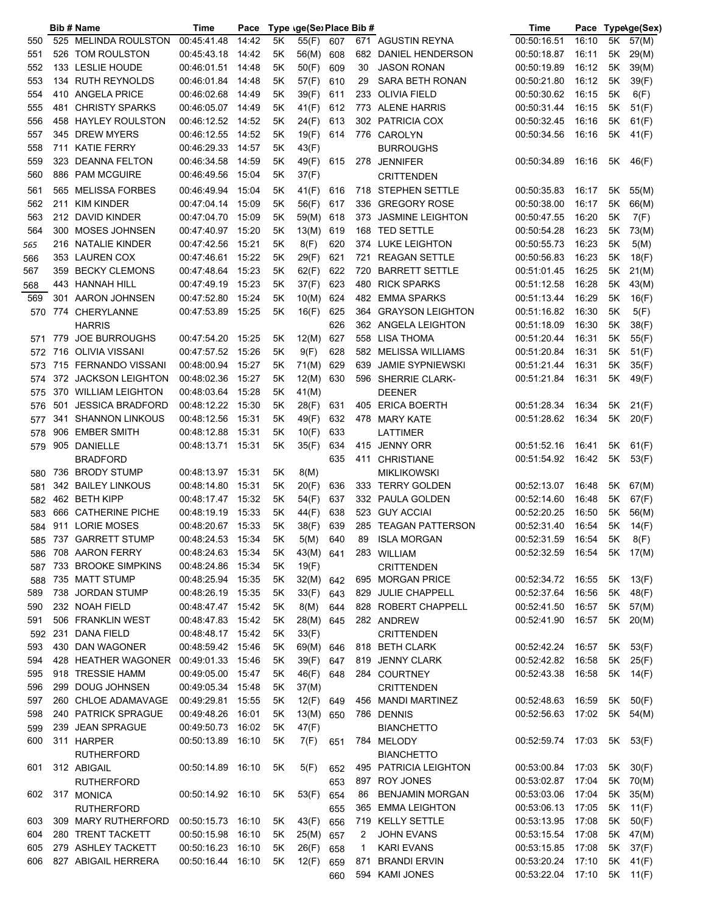|     |     | Bib # Name              | Time              | Pace  |    | Type \ge(Se) Place Bib # |     |     |                         | Time                          | Pace  |      | Type\ge(Sex) |
|-----|-----|-------------------------|-------------------|-------|----|--------------------------|-----|-----|-------------------------|-------------------------------|-------|------|--------------|
| 550 |     | 525 MELINDA ROULSTON    | 00:45:41.48       | 14:42 | 5K | 55(F)                    | 607 |     | 671 AGUSTIN REYNA       | 00:50:16.51                   | 16:10 | 5K   | 57(M)        |
| 551 |     | 526 TOM ROULSTON        | 00:45:43.18       | 14:42 | 5K | 56(M)                    | 608 |     | 682 DANIEL HENDERSON    | 00:50:18.87                   | 16:11 | 5K   | 29(M)        |
| 552 |     | 133 LESLIE HOUDE        | 00:46:01.51 14:48 |       | 5Κ | 50(F)                    | 609 | 30  | <b>JASON RONAN</b>      | 00:50:19.89                   | 16:12 | 5Κ   | 39(M)        |
| 553 |     | 134 RUTH REYNOLDS       | 00:46:01.84       | 14:48 | 5K | 57(F)                    | 610 | 29  | SARA BETH RONAN         | 00:50:21.80                   | 16:12 | 5K   | 39(F)        |
| 554 |     | 410 ANGELA PRICE        | 00:46:02.68       | 14:49 | 5Κ | 39(F)                    | 611 |     | 233 OLIVIA FIELD        | 00:50:30.62                   | 16:15 | 5Κ   | 6(F)         |
| 555 |     | 481 CHRISTY SPARKS      | 00:46:05.07       | 14:49 | 5K | 41(F)                    | 612 |     | 773 ALENE HARRIS        | 00:50:31.44                   | 16:15 | 5Κ   | 51(F)        |
| 556 |     | 458 HAYLEY ROULSTON     | 00:46:12.52 14:52 |       | 5K | 24(F)                    | 613 |     | 302 PATRICIA COX        | 00:50:32.45                   | 16:16 | 5Κ   | 61(F)        |
| 557 |     | 345 DREW MYERS          | 00:46:12.55       | 14:52 | 5Κ | 19(F)                    | 614 |     | 776 CAROLYN             | 00:50:34.56                   | 16:16 | 5K   | 41(F)        |
| 558 |     | 711 KATIE FERRY         | 00:46:29.33       | 14:57 | 5Κ | 43(F)                    |     |     | <b>BURROUGHS</b>        |                               |       |      |              |
| 559 | 323 | <b>DEANNA FELTON</b>    | 00:46:34.58       | 14:59 | 5Κ | 49(F)                    | 615 |     | 278 JENNIFER            | 00:50:34.89                   | 16:16 | 5K   | 46(F)        |
| 560 |     | 886 PAM MCGUIRE         | 00:46:49.56       | 15:04 | 5K | 37(F)                    |     |     | <b>CRITTENDEN</b>       |                               |       |      |              |
| 561 |     | 565 MELISSA FORBES      | 00:46:49.94       | 15:04 | 5K | 41(F)                    | 616 |     | 718 STEPHEN SETTLE      | 00:50:35.83                   | 16:17 | 5K   | 55(M)        |
| 562 | 211 | <b>KIM KINDER</b>       | 00:47:04.14       | 15:09 | 5K | 56(F)                    | 617 |     | 336 GREGORY ROSE        | 00:50:38.00                   | 16:17 | 5Κ   | 66(M)        |
| 563 |     | 212 DAVID KINDER        | 00:47:04.70       | 15:09 | 5K | 59(M)                    |     |     | 373 JASMINE LEIGHTON    | 00:50:47.55                   | 16:20 | 5K   |              |
|     |     |                         |                   |       |    |                          | 618 |     |                         |                               | 16:23 |      | 7(F)         |
| 564 |     | 300 MOSES JOHNSEN       | 00:47:40.97       | 15:20 | 5K | 13(M)                    | 619 |     | 168 TED SETTLE          | 00:50:54.28                   |       | 5K   | 73(M)        |
| 565 |     | 216 NATALIE KINDER      | 00:47:42.56       | 15:21 | 5K | 8(F)                     | 620 |     | 374 LUKE LEIGHTON       | 00:50:55.73                   | 16:23 | 5K   | 5(M)         |
| 566 |     | 353 LAUREN COX          | 00:47:46.61       | 15:22 | 5K | 29(F)                    | 621 | 721 | <b>REAGAN SETTLE</b>    | 00:50:56.83                   | 16:23 | 5K   | 18(F)        |
| 567 | 359 | <b>BECKY CLEMONS</b>    | 00:47:48.64       | 15:23 | 5K | 62(F)                    | 622 | 720 | <b>BARRETT SETTLE</b>   | 00:51:01.45                   | 16:25 | 5K   | 21(M)        |
| 568 |     | 443 HANNAH HILL         | 00:47:49.19       | 15:23 | 5K | 37(F)                    | 623 | 480 | <b>RICK SPARKS</b>      | 00:51:12.58                   | 16:28 | 5Κ   | 43(M)        |
| 569 |     | 301 AARON JOHNSEN       | 00:47:52.80       | 15:24 | 5K | 10(M)                    | 624 |     | 482 EMMA SPARKS         | 00:51:13.44                   | 16:29 | 5Κ   | 16(F)        |
| 570 |     | 774 CHERYLANNE          | 00:47:53.89       | 15:25 | 5K | 16(F)                    | 625 |     | 364 GRAYSON LEIGHTON    | 00:51:16.82                   | 16:30 | 5Κ   | 5(F)         |
|     |     | <b>HARRIS</b>           |                   |       |    |                          | 626 |     | 362 ANGELA LEIGHTON     | 00:51:18.09                   | 16:30 | 5K   | 38(F)        |
| 571 |     | 779 JOE BURROUGHS       | 00:47:54.20 15:25 |       | 5K | 12(M)                    | 627 |     | 558 LISA THOMA          | 00:51:20.44                   | 16:31 | 5Κ   | 55(F)        |
| 572 |     | 716 OLIVIA VISSANI      | 00:47:57.52 15:26 |       | 5K | 9(F)                     | 628 |     | 582 MELISSA WILLIAMS    | 00:51:20.84                   | 16:31 | 5Κ   | 51(F)        |
| 573 |     | 715 FERNANDO VISSANI    | 00:48:00.94       | 15:27 | 5K | 71(M)                    | 629 | 639 | <b>JAMIE SYPNIEWSKI</b> | 00:51:21.44                   | 16:31 | 5Κ   | 35(F)        |
| 574 |     | 372 JACKSON LEIGHTON    | 00:48:02.36       | 15:27 | 5K | 12(M)                    | 630 |     | 596 SHERRIE CLARK-      | 00:51:21.84                   | 16:31 | 5K   | 49(F)        |
| 575 |     | 370 WILLIAM LEIGHTON    | 00:48:03.64       | 15:28 | 5K | 41(M)                    |     |     | DEENER                  |                               |       |      |              |
| 576 | 501 | <b>JESSICA BRADFORD</b> | 00:48:12.22       | 15:30 | 5K | 28(F)                    | 631 | 405 | <b>ERICA BOERTH</b>     | 00:51:28.34                   | 16:34 | 5K   | 21(F)        |
| 577 |     | 341 SHANNON LINKOUS     | 00:48:12.56       | 15:31 | 5K | 49(F)                    | 632 |     | 478 MARY KATE           | 00:51:28.62                   | 16:34 | 5K   | 20(F)        |
| 578 | 906 | <b>EMBER SMITH</b>      | 00:48:12.88       | 15:31 | 5K | 10(F)                    | 633 |     | LATTIMER                |                               |       |      |              |
| 579 |     | 905 DANIELLE            | 00:48:13.71 15:31 |       | 5Κ | 35(F)                    | 634 |     | 415 JENNY ORR           | 00:51:52.16                   | 16:41 | 5K   | 61(F)        |
|     |     | BRADFORD                |                   |       |    |                          | 635 |     | 411 CHRISTIANE          | 00:51:54.92                   | 16:42 | 5K . | 53(F)        |
| 580 |     | 736 BRODY STUMP         | 00:48:13.97 15:31 |       | 5K | 8(M)                     |     |     | <b>MIKLIKOWSKI</b>      |                               |       |      |              |
| 581 |     | 342 BAILEY LINKOUS      | 00:48:14.80       | 15:31 | 5K | 20(F)                    | 636 |     | 333 TERRY GOLDEN        | 00:52:13.07                   | 16:48 | 5K   | 67(M)        |
| 582 |     | 462 BETH KIPP           | 00:48:17.47 15:32 |       | 5K | 54(F)                    | 637 |     | 332 PAULA GOLDEN        | 00:52:14.60                   | 16:48 | 5K   | 67(F)        |
| 583 |     | 666 CATHERINE PICHE     | 00:48:19.19       | 15:33 | 5K | 44(F)                    | 638 |     | 523 GUY ACCIAI          | 00:52:20.25                   | 16:50 | 5Κ   | 56(M)        |
| 584 |     | 911 LORIE MOSES         | 00:48:20.67 15:33 |       | 5Κ | 38(F)                    | 639 |     | 285 TEAGAN PATTERSON    | 00:52:31.40                   | 16:54 | 5Κ   | 14(F)        |
|     |     | 585 737 GARRETT STUMP   | 00:48:24.53 15:34 |       | 5K | 5(M)                     | 640 |     | 89 ISLA MORGAN          | 00:52:31.59                   | 16:54 | 5K   | 8(F)         |
| 586 |     | 708 AARON FERRY         | 00:48:24.63 15:34 |       | 5K | 43(M) 641                |     |     | 283 WILLIAM             | 00:52:32.59  16:54  5K  17(M) |       |      |              |
| 587 |     | 733 BROOKE SIMPKINS     | 00:48:24.86 15:34 |       | 5K | 19(F)                    |     |     | <b>CRITTENDEN</b>       |                               |       |      |              |
| 588 |     | 735 MATT STUMP          | 00:48:25.94 15:35 |       | 5K | 32(M) 642                |     |     | 695 MORGAN PRICE        | 00:52:34.72                   | 16:55 | 5K   | 13(F)        |
| 589 |     | 738 JORDAN STUMP        | 00:48:26.19 15:35 |       | 5K | 33(F)                    | 643 |     | 829 JULIE CHAPPELL      | 00:52:37.64                   | 16:56 | 5K   | 48(F)        |
| 590 |     | 232 NOAH FIELD          | 00:48:47.47 15:42 |       | 5K | 8(M)                     | 644 |     | 828 ROBERT CHAPPELL     | 00:52:41.50                   | 16:57 | 5K   |              |
|     |     | 506 FRANKLIN WEST       | 00:48:47.83 15:42 |       |    |                          |     |     |                         |                               | 16:57 | 5K   | 57(M)        |
| 591 |     |                         |                   |       | 5Κ | 28(M)                    | 645 |     | 282 ANDREW              | 00:52:41.90                   |       |      | 20(M)        |
| 592 |     | 231 DANA FIELD          | 00:48:48.17       | 15:42 | 5Κ | 33(F)                    |     |     | <b>CRITTENDEN</b>       |                               |       |      |              |
| 593 |     | 430 DAN WAGONER         | 00:48:59.42 15:46 |       | 5Κ | 69(M) 646                |     |     | 818 BETH CLARK          | 00:52:42.24                   | 16:57 | 5K   | 53(F)        |
| 594 |     | 428 HEATHER WAGONER     | 00:49:01.33 15:46 |       | 5Κ | 39(F)                    | 647 |     | 819 JENNY CLARK         | 00:52:42.82                   | 16:58 | 5K   | 25(F)        |
| 595 |     | 918 TRESSIE HAMM        | 00:49:05.00       | 15:47 | 5K | 46(F)                    | 648 |     | 284 COURTNEY            | 00:52:43.38                   | 16:58 | 5K   | 14(F)        |
| 596 |     | 299 DOUG JOHNSEN        | 00:49:05.34       | 15:48 | 5K | 37(M)                    |     |     | <b>CRITTENDEN</b>       |                               |       |      |              |
| 597 |     | 260 CHLOE ADAMAVAGE     | 00:49:29.81       | 15:55 | 5K | 12(F)                    | 649 |     | 456 MANDI MARTINEZ      | 00:52:48.63                   | 16:59 | 5K   | 50(F)        |
| 598 |     | 240 PATRICK SPRAGUE     | 00:49:48.26       | 16:01 | 5K | 13(M)                    | 650 |     | 786 DENNIS              | 00:52:56.63                   | 17:02 |      | 5K 54(M)     |
| 599 |     | 239 JEAN SPRAGUE        | 00:49:50.73       | 16:02 | 5K | 47(F)                    |     |     | <b>BIANCHETTO</b>       |                               |       |      |              |
| 600 |     | 311 HARPER              | 00:50:13.89       | 16:10 | 5Κ | 7(F)                     | 651 | 784 | MELODY                  | 00:52:59.74                   | 17:03 | 5K   | 53(F)        |
|     |     | <b>RUTHERFORD</b>       |                   |       |    |                          |     |     | <b>BIANCHETTO</b>       |                               |       |      |              |
| 601 |     | 312 ABIGAIL             | 00:50:14.89       | 16:10 | 5K | 5(F)                     | 652 |     | 495 PATRICIA LEIGHTON   | 00:53:00.84                   | 17:03 | 5K - | 30(F)        |
|     |     | RUTHERFORD              |                   |       |    |                          | 653 |     | 897 ROY JONES           | 00:53:02.87                   | 17:04 | 5K   | 70(M)        |
| 602 |     | 317 MONICA              | 00:50:14.92 16:10 |       | 5K | 53(F)                    | 654 | 86  | <b>BENJAMIN MORGAN</b>  | 00:53:03.06                   | 17:04 | 5K   | 35(M)        |
|     |     | RUTHERFORD              |                   |       |    |                          | 655 |     | 365 EMMA LEIGHTON       | 00:53:06.13                   | 17:05 | 5Κ   | 11(F)        |
| 603 |     | 309 MARY RUTHERFORD     | 00:50:15.73 16:10 |       | 5K | 43(F)                    | 656 |     | 719 KELLY SETTLE        | 00:53:13.95                   | 17:08 | 5K   | 50(F)        |
| 604 |     | 280 TRENT TACKETT       | 00:50:15.98       | 16:10 | 5Κ | 25(M)                    | 657 | 2   | <b>JOHN EVANS</b>       | 00:53:15.54                   | 17:08 | 5K   | 47(M)        |
| 605 |     | 279 ASHLEY TACKETT      | 00:50:16.23       | 16:10 | 5Κ | 26(F)                    | 658 | 1   | <b>KARI EVANS</b>       | 00:53:15.85                   | 17:08 | 5Κ   | 37(F)        |
| 606 |     | 827 ABIGAIL HERRERA     | 00:50:16.44       | 16:10 | 5Κ | 12(F)                    | 659 | 871 | <b>BRANDI ERVIN</b>     | 00:53:20.24                   | 17:10 | 5Κ   | 41(F)        |
|     |     |                         |                   |       |    |                          | 660 |     | 594 KAMI JONES          | 00:53:22.04                   | 17:10 | 5K   | 11(F)        |
|     |     |                         |                   |       |    |                          |     |     |                         |                               |       |      |              |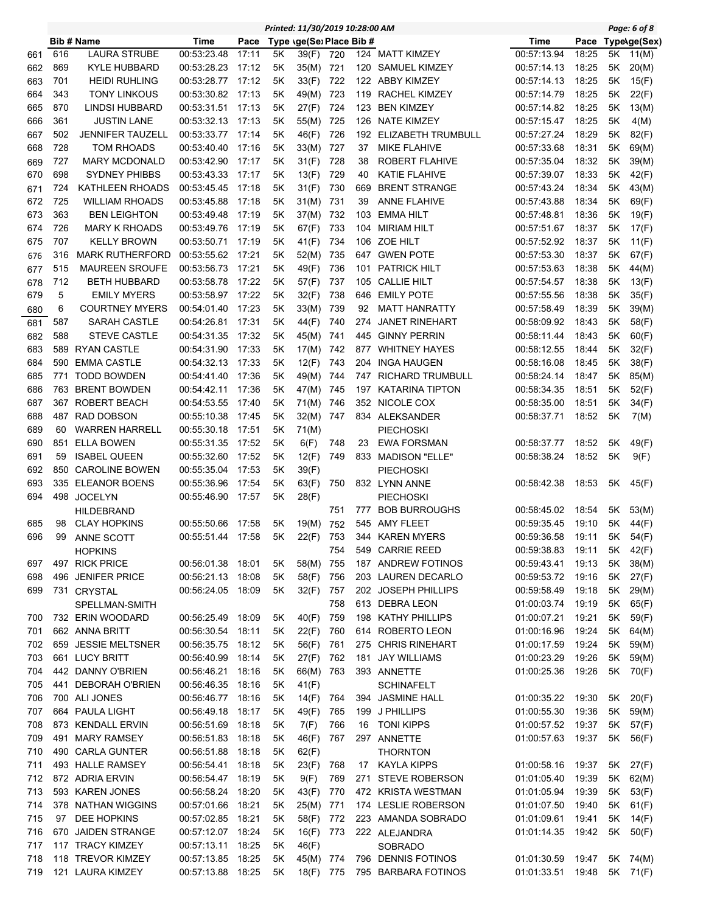|     |     |                        |                   |       |    | Printed: 11/30/2019 10:28:00 AM |     |     |                         |             |       |      | Page: 6 of 8      |
|-----|-----|------------------------|-------------------|-------|----|---------------------------------|-----|-----|-------------------------|-------------|-------|------|-------------------|
|     |     | <b>Bib # Name</b>      | Time              | Pace  |    | Type (ge(Se) Place Bib #        |     |     |                         | Time        |       |      | Pace Type\ge(Sex) |
| 661 | 616 | <b>LAURA STRUBE</b>    | 00:53:23.48       | 17:11 | 5Κ | 39(F)                           | 720 |     | 124 MATT KIMZEY         | 00:57:13.94 | 18:25 | 5K   | 11(M)             |
| 662 | 869 | <b>KYLE HUBBARD</b>    | 00:53:28.23       | 17:12 | 5K | 35(M)                           | 721 | 120 | SAMUEL KIMZEY           | 00:57:14.13 | 18:25 | 5K   | 20(M)             |
| 663 | 701 | <b>HEIDI RUHLING</b>   | 00:53:28.77       | 17:12 | 5K | 33(F)                           | 722 | 122 | ABBY KIMZEY             | 00:57:14.13 | 18:25 | 5Κ   | 15(F)             |
| 664 | 343 | <b>TONY LINKOUS</b>    | 00:53:30.82       | 17:13 | 5K | 49(M)                           | 723 | 119 | <b>RACHEL KIMZEY</b>    | 00:57:14.79 | 18:25 | 5K   | 22(F)             |
| 665 | 870 | <b>LINDSI HUBBARD</b>  | 00:53:31.51       | 17:13 | 5K | 27(F)                           | 724 | 123 | <b>BEN KIMZEY</b>       | 00:57:14.82 | 18:25 | 5K   | 13(M)             |
| 666 | 361 | <b>JUSTIN LANE</b>     | 00:53:32.13       | 17:13 | 5K | 55(M)                           | 725 | 126 | <b>NATE KIMZEY</b>      | 00:57:15.47 | 18:25 | 5Κ   | 4(M)              |
| 667 | 502 | JENNIFER TAUZELL       | 00:53:33.77       | 17:14 | 5K | 46(F)                           | 726 | 192 | ELIZABETH TRUMBULL      | 00:57:27.24 | 18:29 | 5K   | 82(F)             |
| 668 | 728 | TOM RHOADS             | 00:53:40.40       | 17:16 | 5K | 33(M)                           | 727 | 37  | <b>MIKE FLAHIVE</b>     | 00:57:33.68 | 18:31 | 5K   | 69(M)             |
| 669 | 727 | <b>MARY MCDONALD</b>   | 00:53:42.90       | 17:17 | 5K | 31(F)                           | 728 | 38  | <b>ROBERT FLAHIVE</b>   | 00:57:35.04 | 18:32 | 5K   | 39(M)             |
| 670 | 698 | <b>SYDNEY PHIBBS</b>   | 00:53:43.33       | 17:17 | 5K | 13(F)                           | 729 | 40  | KATIE FLAHIVE           | 00:57:39.07 | 18:33 | 5K   | 42(F)             |
| 671 | 724 | KATHLEEN RHOADS        | 00:53:45.45       | 17:18 | 5Κ | 31(F)                           | 730 | 669 | <b>BRENT STRANGE</b>    | 00:57:43.24 | 18:34 | 5K   | 43(M)             |
| 672 | 725 | <b>WILLIAM RHOADS</b>  | 00:53:45.88       | 17:18 | 5K | 31(M)                           | 731 | 39  | <b>ANNE FLAHIVE</b>     | 00:57:43.88 | 18:34 | 5Κ   | 69(F)             |
| 673 | 363 | <b>BEN LEIGHTON</b>    | 00:53:49.48       | 17:19 | 5K | 37(M)                           | 732 | 103 | <b>EMMA HILT</b>        | 00:57:48.81 | 18:36 | 5Κ   | 19(F)             |
| 674 | 726 | <b>MARY K RHOADS</b>   | 00:53:49.76       | 17:19 | 5K | 67(F)                           | 733 | 104 | MIRIAM HILT             | 00:57:51.67 | 18:37 | 5Κ   | 17(F)             |
| 675 | 707 | <b>KELLY BROWN</b>     | 00:53:50.71       | 17:19 | 5K | 41(F)                           | 734 | 106 | <b>ZOE HILT</b>         | 00:57:52.92 | 18:37 | 5Κ   | 11(F)             |
| 676 | 316 | <b>MARK RUTHERFORD</b> | 00:53:55.62       | 17:21 | 5Κ | 52(M)                           | 735 | 647 | <b>GWEN POTE</b>        | 00:57:53.30 | 18:37 | 5K   | 67(F)             |
| 677 | 515 | <b>MAUREEN SROUFE</b>  | 00:53:56.73       | 17:21 | 5Κ | 49(F)                           | 736 | 101 | <b>PATRICK HILT</b>     | 00:57:53.63 | 18:38 | 5K   | 44(M)             |
| 678 | 712 | <b>BETH HUBBARD</b>    | 00:53:58.78       | 17:22 | 5K | 57(F)                           | 737 | 105 | <b>CALLIE HILT</b>      | 00:57:54.57 | 18:38 | 5Κ   | 13(F)             |
| 679 | 5   | <b>EMILY MYERS</b>     | 00:53:58.97       | 17:22 | 5K | 32(F)                           | 738 | 646 | <b>EMILY POTE</b>       | 00:57:55.56 | 18:38 | 5Κ   | 35(F)             |
| 680 | 6   | <b>COURTNEY MYERS</b>  | 00:54:01.40       | 17:23 | 5K | 33(M)                           | 739 | 92  | <b>MATT HANRATTY</b>    | 00:57:58.49 | 18:39 | 5K   | 39(M)             |
| 681 | 587 | <b>SARAH CASTLE</b>    | 00:54:26.81       | 17:31 | 5K | 44(F)                           | 740 | 274 | <b>JANET RINEHART</b>   | 00:58:09.92 | 18:43 | 5K   | 58(F)             |
| 682 | 588 | <b>STEVE CASTLE</b>    | 00:54:31.35       | 17:32 | 5K | 45(M)                           | 741 | 445 | <b>GINNY PERRIN</b>     | 00:58:11.44 | 18:43 | 5K   | 60(F)             |
| 683 |     | 589 RYAN CASTLE        | 00:54:31.90       | 17:33 | 5K | 17(M)                           | 742 | 877 | <b>WHITNEY HAYES</b>    | 00:58:12.55 | 18:44 | 5Κ   | 32(F)             |
| 684 | 590 | <b>EMMA CASTLE</b>     | 00:54:32.13       | 17:33 | 5K | 12(F)                           | 743 | 204 | <b>INGA HAUGEN</b>      | 00:58:16.08 | 18:45 | 5Κ   | 38(F)             |
| 685 |     | 771 TODD BOWDEN        | 00:54:41.40       | 17:36 | 5K | 49(M)                           | 744 | 747 | <b>RICHARD TRUMBULL</b> | 00:58:24.14 | 18:47 | 5K   | 85(M)             |
| 686 |     | 763 BRENT BOWDEN       | 00:54:42.11       | 17:36 | 5K | 47(M)                           | 745 | 197 | <b>KATARINA TIPTON</b>  | 00:58:34.35 | 18:51 | 5K   | 52(F)             |
| 687 |     | 367 ROBERT BEACH       | 00:54:53.55       | 17:40 | 5K | 71(M)                           | 746 | 352 | NICOLE COX              | 00:58:35.00 | 18:51 | 5Κ   | 34(F)             |
| 688 | 487 | <b>RAD DOBSON</b>      | 00:55:10.38       | 17:45 | 5K | 32(M)                           | 747 |     | 834 ALEKSANDER          | 00:58:37.71 | 18:52 | 5Κ   | 7(M)              |
| 689 | 60  | <b>WARREN HARRELL</b>  | 00:55:30.18       | 17:51 | 5Κ | 71(M)                           |     |     | <b>PIECHOSKI</b>        |             |       |      |                   |
| 690 | 851 | <b>ELLA BOWEN</b>      | 00:55:31.35       | 17:52 | 5K | 6(F)                            | 748 | 23  | <b>EWA FORSMAN</b>      | 00:58:37.77 | 18:52 | 5K   | 49(F)             |
| 691 | 59  | <b>ISABEL QUEEN</b>    | 00:55:32.60       | 17:52 | 5K | 12(F)                           | 749 |     | 833 MADISON "ELLE"      | 00:58:38.24 | 18:52 | 5K   | 9(F)              |
| 692 |     | 850 CAROLINE BOWEN     | 00:55:35.04       | 17:53 | 5K | 39(F)                           |     |     | <b>PIECHOSKI</b>        |             |       |      |                   |
| 693 |     | 335 ELEANOR BOENS      | 00:55:36.96       | 17:54 | 5K | 63(F)                           | 750 |     | 832 LYNN ANNE           | 00:58:42.38 | 18:53 | 5K - | 45(F)             |
| 694 |     | 498 JOCELYN            | 00:55:46.90       | 17:57 | 5K | 28(F)                           |     |     | <b>PIECHOSKI</b>        |             |       |      |                   |
|     |     | <b>HILDEBRAND</b>      |                   |       |    |                                 | 751 | 777 | <b>BOB BURROUGHS</b>    | 00:58:45.02 | 18:54 | 5K   | 53(M)             |
| 685 | 98  | <b>CLAY HOPKINS</b>    | 00:55:50.66       | 17:58 | 5K | 19(M)                           | 752 |     | 545 AMY FLEET           | 00:59:35.45 | 19:10 | 5K   | 44(F)             |
| 696 | 99  | <b>ANNE SCOTT</b>      | 00:55:51.44 17:58 |       | 5K | 22(F)                           | 753 |     | 344 KAREN MYERS         | 00:59:36.58 | 19:11 | 5K   | 54(F)             |
|     |     | <b>HOPKINS</b>         |                   |       |    |                                 | 754 |     | 549 CARRIE REED         | 00:59:38.83 | 19:11 |      | 5K 42(F)          |
| 697 |     | 497 RICK PRICE         | 00:56:01.38 18:01 |       | 5K | 58(M)                           | 755 |     | 187 ANDREW FOTINOS      | 00:59:43.41 | 19:13 | 5K   | 38(M)             |
| 698 |     | 496 JENIFER PRICE      | 00:56:21.13       | 18:08 | 5K | 58(F)                           | 756 |     | 203 LAUREN DECARLO      | 00:59:53.72 | 19:16 | 5K   | 27(F)             |
| 699 |     | 731 CRYSTAL            | 00:56:24.05 18:09 |       | 5K | 32(F)                           | 757 |     | 202 JOSEPH PHILLIPS     | 00:59:58.49 | 19:18 | 5K   | 29(M)             |
|     |     | SPELLMAN-SMITH         |                   |       |    |                                 | 758 |     | 613 DEBRA LEON          | 01:00:03.74 | 19:19 | 5K   | 65(F)             |
| 700 |     | 732 ERIN WOODARD       | 00:56:25.49       | 18:09 | 5K | 40(F)                           | 759 |     | 198 KATHY PHILLIPS      | 01:00:07.21 | 19:21 | 5K   | 59(F)             |
| 701 |     | 662 ANNA BRITT         | 00:56:30.54       | 18:11 | 5K | 22(F)                           | 760 |     | 614 ROBERTO LEON        | 01:00:16.96 | 19:24 | 5K   | 64(M)             |
| 702 |     | 659 JESSIE MELTSNER    | 00:56:35.75       | 18:12 | 5K | 56(F)                           | 761 |     | 275 CHRIS RINEHART      | 01:00:17.59 | 19:24 | 5K   | 59(M)             |
| 703 |     | 661 LUCY BRITT         | 00:56:40.99       | 18:14 | 5K | 27(F)                           | 762 |     | 181 JAY WILLIAMS        | 01:00:23.29 | 19:26 | 5K   | 59(M)             |
| 704 |     | 442 DANNY O'BRIEN      | 00:56:46.21       | 18:16 | 5K | 66(M) 763                       |     |     | 393 ANNETTE             | 01:00:25.36 | 19:26 | 5K   | 70(F)             |
| 705 |     | 441 DEBORAH O'BRIEN    | 00:56:46.35       | 18:16 | 5K | 41(F)                           |     |     | <b>SCHINAFELT</b>       |             |       |      |                   |
| 706 |     | 700 ALI JONES          | 00:56:46.77       | 18:16 | 5K | 14(F)                           | 764 |     | 394 JASMINE HALL        | 01:00:35.22 | 19:30 | 5K   | 20(F)             |
| 707 |     | 664 PAULA LIGHT        | 00:56:49.18       | 18:17 | 5K | 49(F)                           | 765 |     | 199 J PHILLIPS          | 01:00:55.30 | 19:36 | 5K . | 59(M)             |
| 708 |     | 873 KENDALL ERVIN      | 00:56:51.69       | 18:18 | 5K | 7(F)                            | 766 | 16  | TONI KIPPS              | 01:00:57.52 | 19:37 | 5K   | 57(F)             |
| 709 |     | 491 MARY RAMSEY        | 00:56:51.83       | 18:18 | 5K | 46(F)                           | 767 |     | 297 ANNETTE             | 01:00:57.63 | 19:37 | 5K   | 56(F)             |
| 710 |     | 490 CARLA GUNTER       | 00:56:51.88       | 18:18 | 5K | 62(F)                           |     |     | <b>THORNTON</b>         |             |       |      |                   |
| 711 |     | 493 HALLE RAMSEY       | 00:56:54.41       | 18:18 | 5K | 23(F)                           | 768 | 17  | <b>KAYLA KIPPS</b>      | 01:00:58.16 | 19:37 | 5K   | 27(F)             |
| 712 |     | 872 ADRIA ERVIN        | 00:56:54.47       | 18:19 | 5K | 9(F)                            | 769 |     | 271 STEVE ROBERSON      | 01:01:05.40 | 19:39 | 5K   | 62(M)             |
| 713 |     | 593 KAREN JONES        | 00:56:58.24       | 18:20 | 5K | 43(F)                           | 770 |     | 472 KRISTA WESTMAN      | 01:01:05.94 | 19:39 | 5K   | 53(F)             |
| 714 |     | 378 NATHAN WIGGINS     | 00:57:01.66       | 18:21 | 5K | 25(M)                           | 771 |     | 174 LESLIE ROBERSON     | 01:01:07.50 | 19:40 | 5K   | 61(F)             |
| 715 | 97  | DEE HOPKINS            | 00:57:02.85       | 18:21 | 5Κ | 58(F)                           | 772 |     | 223 AMANDA SOBRADO      | 01:01:09.61 | 19:41 | 5Κ   | 14(F)             |
| 716 |     | 670 JAIDEN STRANGE     | 00:57:12.07       | 18:24 | 5Κ | 16(F)                           | 773 |     | 222 ALEJANDRA           | 01:01:14.35 | 19:42 | 5K   | 50(F)             |
| 717 |     | 117 TRACY KIMZEY       | 00:57:13.11       | 18:25 | 5K | 46(F)                           |     |     | <b>SOBRADO</b>          |             |       |      |                   |
| 718 |     | 118 TREVOR KIMZEY      | 00:57:13.85       | 18:25 | 5K | 45(M)                           | 774 |     | 796 DENNIS FOTINOS      | 01:01:30.59 | 19:47 | 5K   | 74(M)             |
| 719 |     | 121 LAURA KIMZEY       | 00:57:13.88       | 18:25 | 5Κ | 18(F)                           | 775 |     | 795 BARBARA FOTINOS     | 01:01:33.51 | 19:48 |      | 5K 71(F)          |